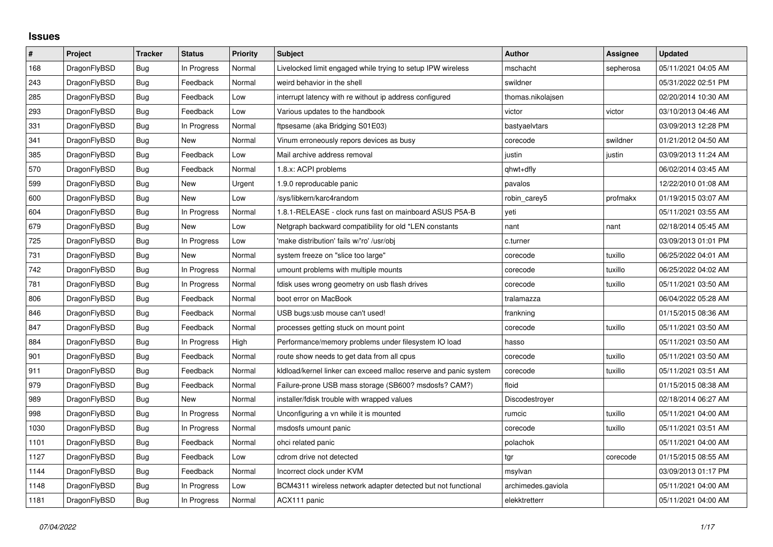## **Issues**

| $\vert$ # | Project      | <b>Tracker</b> | <b>Status</b> | <b>Priority</b> | <b>Subject</b>                                                   | <b>Author</b>      | <b>Assignee</b> | <b>Updated</b>      |
|-----------|--------------|----------------|---------------|-----------------|------------------------------------------------------------------|--------------------|-----------------|---------------------|
| 168       | DragonFlyBSD | Bug            | In Progress   | Normal          | Livelocked limit engaged while trying to setup IPW wireless      | mschacht           | sepherosa       | 05/11/2021 04:05 AM |
| 243       | DragonFlyBSD | <b>Bug</b>     | Feedback      | Normal          | weird behavior in the shell                                      | swildner           |                 | 05/31/2022 02:51 PM |
| 285       | DragonFlyBSD | Bug            | Feedback      | Low             | interrupt latency with re without ip address configured          | thomas.nikolajsen  |                 | 02/20/2014 10:30 AM |
| 293       | DragonFlyBSD | Bug            | Feedback      | Low             | Various updates to the handbook                                  | victor             | victor          | 03/10/2013 04:46 AM |
| 331       | DragonFlyBSD | <b>Bug</b>     | In Progress   | Normal          | ftpsesame (aka Bridging S01E03)                                  | bastyaelvtars      |                 | 03/09/2013 12:28 PM |
| 341       | DragonFlyBSD | Bug            | New           | Normal          | Vinum erroneously repors devices as busy                         | corecode           | swildner        | 01/21/2012 04:50 AM |
| 385       | DragonFlyBSD | Bug            | Feedback      | Low             | Mail archive address removal                                     | justin             | justin          | 03/09/2013 11:24 AM |
| 570       | DragonFlyBSD | Bug            | Feedback      | Normal          | 1.8.x: ACPI problems                                             | qhwt+dfly          |                 | 06/02/2014 03:45 AM |
| 599       | DragonFlyBSD | <b>Bug</b>     | New           | Urgent          | 1.9.0 reproducable panic                                         | pavalos            |                 | 12/22/2010 01:08 AM |
| 600       | DragonFlyBSD | <b>Bug</b>     | <b>New</b>    | Low             | /sys/libkern/karc4random                                         | robin_carey5       | profmakx        | 01/19/2015 03:07 AM |
| 604       | DragonFlyBSD | Bug            | In Progress   | Normal          | 1.8.1-RELEASE - clock runs fast on mainboard ASUS P5A-B          | yeti               |                 | 05/11/2021 03:55 AM |
| 679       | DragonFlyBSD | <b>Bug</b>     | <b>New</b>    | Low             | Netgraph backward compatibility for old *LEN constants           | nant               | nant            | 02/18/2014 05:45 AM |
| 725       | DragonFlyBSD | Bug            | In Progress   | Low             | 'make distribution' fails w/'ro' /usr/obj                        | c.turner           |                 | 03/09/2013 01:01 PM |
| 731       | DragonFlyBSD | <b>Bug</b>     | New           | Normal          | system freeze on "slice too large"                               | corecode           | tuxillo         | 06/25/2022 04:01 AM |
| 742       | DragonFlyBSD | <b>Bug</b>     | In Progress   | Normal          | umount problems with multiple mounts                             | corecode           | tuxillo         | 06/25/2022 04:02 AM |
| 781       | DragonFlyBSD | Bug            | In Progress   | Normal          | fdisk uses wrong geometry on usb flash drives                    | corecode           | tuxillo         | 05/11/2021 03:50 AM |
| 806       | DragonFlyBSD | Bug            | Feedback      | Normal          | boot error on MacBook                                            | tralamazza         |                 | 06/04/2022 05:28 AM |
| 846       | DragonFlyBSD | <b>Bug</b>     | Feedback      | Normal          | USB bugs:usb mouse can't used!                                   | frankning          |                 | 01/15/2015 08:36 AM |
| 847       | DragonFlyBSD | Bug            | Feedback      | Normal          | processes getting stuck on mount point                           | corecode           | tuxillo         | 05/11/2021 03:50 AM |
| 884       | DragonFlyBSD | <b>Bug</b>     | In Progress   | High            | Performance/memory problems under filesystem IO load             | hasso              |                 | 05/11/2021 03:50 AM |
| 901       | DragonFlyBSD | <b>Bug</b>     | Feedback      | Normal          | route show needs to get data from all cpus                       | corecode           | tuxillo         | 05/11/2021 03:50 AM |
| 911       | DragonFlyBSD | <b>Bug</b>     | Feedback      | Normal          | kldload/kernel linker can exceed malloc reserve and panic system | corecode           | tuxillo         | 05/11/2021 03:51 AM |
| 979       | DragonFlyBSD | <b>Bug</b>     | Feedback      | Normal          | Failure-prone USB mass storage (SB600? msdosfs? CAM?)            | floid              |                 | 01/15/2015 08:38 AM |
| 989       | DragonFlyBSD | Bug            | New           | Normal          | installer/fdisk trouble with wrapped values                      | Discodestroyer     |                 | 02/18/2014 06:27 AM |
| 998       | DragonFlyBSD | Bug            | In Progress   | Normal          | Unconfiguring a vn while it is mounted                           | rumcic             | tuxillo         | 05/11/2021 04:00 AM |
| 1030      | DragonFlyBSD | Bug            | In Progress   | Normal          | msdosfs umount panic                                             | corecode           | tuxillo         | 05/11/2021 03:51 AM |
| 1101      | DragonFlyBSD | <b>Bug</b>     | Feedback      | Normal          | ohci related panic                                               | polachok           |                 | 05/11/2021 04:00 AM |
| 1127      | DragonFlyBSD | <b>Bug</b>     | Feedback      | Low             | cdrom drive not detected                                         | tgr                | corecode        | 01/15/2015 08:55 AM |
| 1144      | DragonFlyBSD | <b>Bug</b>     | Feedback      | Normal          | Incorrect clock under KVM                                        | msylvan            |                 | 03/09/2013 01:17 PM |
| 1148      | DragonFlyBSD | Bug            | In Progress   | Low             | BCM4311 wireless network adapter detected but not functional     | archimedes.gaviola |                 | 05/11/2021 04:00 AM |
| 1181      | DragonFlyBSD | <b>Bug</b>     | In Progress   | Normal          | ACX111 panic                                                     | elekktretterr      |                 | 05/11/2021 04:00 AM |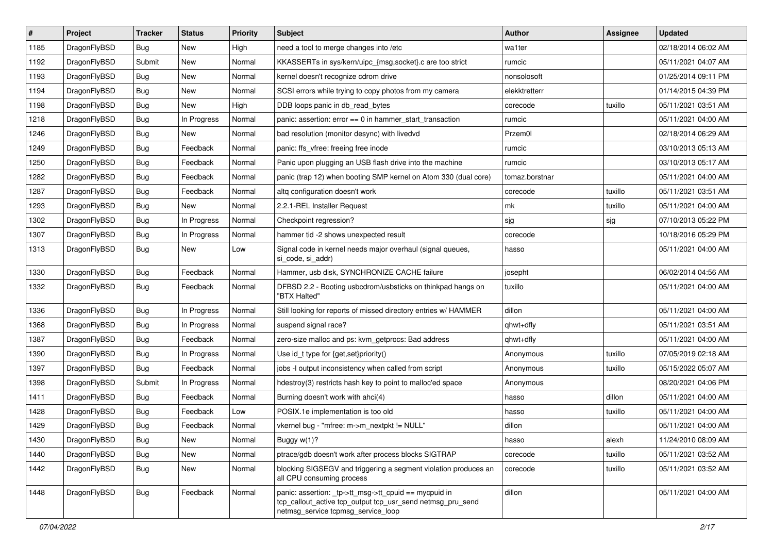| $\#$ | Project      | <b>Tracker</b> | <b>Status</b> | <b>Priority</b> | <b>Subject</b>                                                                                                                                            | Author         | Assignee | <b>Updated</b>      |
|------|--------------|----------------|---------------|-----------------|-----------------------------------------------------------------------------------------------------------------------------------------------------------|----------------|----------|---------------------|
| 1185 | DragonFlyBSD | Bug            | <b>New</b>    | High            | need a tool to merge changes into /etc                                                                                                                    | wa1ter         |          | 02/18/2014 06:02 AM |
| 1192 | DragonFlyBSD | Submit         | <b>New</b>    | Normal          | KKASSERTs in sys/kern/uipc_{msg,socket}.c are too strict                                                                                                  | rumcic         |          | 05/11/2021 04:07 AM |
| 1193 | DragonFlyBSD | <b>Bug</b>     | New           | Normal          | kernel doesn't recognize cdrom drive                                                                                                                      | nonsolosoft    |          | 01/25/2014 09:11 PM |
| 1194 | DragonFlyBSD | Bug            | New           | Normal          | SCSI errors while trying to copy photos from my camera                                                                                                    | elekktretterr  |          | 01/14/2015 04:39 PM |
| 1198 | DragonFlyBSD | <b>Bug</b>     | New           | High            | DDB loops panic in db_read_bytes                                                                                                                          | corecode       | tuxillo  | 05/11/2021 03:51 AM |
| 1218 | DragonFlyBSD | <b>Bug</b>     | In Progress   | Normal          | panic: assertion: $error == 0$ in hammer start transaction                                                                                                | rumcic         |          | 05/11/2021 04:00 AM |
| 1246 | DragonFlyBSD | <b>Bug</b>     | New           | Normal          | bad resolution (monitor desync) with livedvd                                                                                                              | Przem0l        |          | 02/18/2014 06:29 AM |
| 1249 | DragonFlyBSD | Bug            | Feedback      | Normal          | panic: ffs vfree: freeing free inode                                                                                                                      | rumcic         |          | 03/10/2013 05:13 AM |
| 1250 | DragonFlyBSD | Bug            | Feedback      | Normal          | Panic upon plugging an USB flash drive into the machine                                                                                                   | rumcic         |          | 03/10/2013 05:17 AM |
| 1282 | DragonFlyBSD | <b>Bug</b>     | Feedback      | Normal          | panic (trap 12) when booting SMP kernel on Atom 330 (dual core)                                                                                           | tomaz.borstnar |          | 05/11/2021 04:00 AM |
| 1287 | DragonFlyBSD | <b>Bug</b>     | Feedback      | Normal          | altg configuration doesn't work                                                                                                                           | corecode       | tuxillo  | 05/11/2021 03:51 AM |
| 1293 | DragonFlyBSD | Bug            | New           | Normal          | 2.2.1-REL Installer Request                                                                                                                               | mk             | tuxillo  | 05/11/2021 04:00 AM |
| 1302 | DragonFlyBSD | Bug            | In Progress   | Normal          | Checkpoint regression?                                                                                                                                    | sjg            | sjg      | 07/10/2013 05:22 PM |
| 1307 | DragonFlyBSD | Bug            | In Progress   | Normal          | hammer tid -2 shows unexpected result                                                                                                                     | corecode       |          | 10/18/2016 05:29 PM |
| 1313 | DragonFlyBSD | <b>Bug</b>     | New           | Low             | Signal code in kernel needs major overhaul (signal queues,<br>si code, si addr)                                                                           | hasso          |          | 05/11/2021 04:00 AM |
| 1330 | DragonFlyBSD | Bug            | Feedback      | Normal          | Hammer, usb disk, SYNCHRONIZE CACHE failure                                                                                                               | josepht        |          | 06/02/2014 04:56 AM |
| 1332 | DragonFlyBSD | Bug            | Feedback      | Normal          | DFBSD 2.2 - Booting usbcdrom/usbsticks on thinkpad hangs on<br>"BTX Halted"                                                                               | tuxillo        |          | 05/11/2021 04:00 AM |
| 1336 | DragonFlyBSD | Bug            | In Progress   | Normal          | Still looking for reports of missed directory entries w/ HAMMER                                                                                           | dillon         |          | 05/11/2021 04:00 AM |
| 1368 | DragonFlyBSD | Bug            | In Progress   | Normal          | suspend signal race?                                                                                                                                      | qhwt+dfly      |          | 05/11/2021 03:51 AM |
| 1387 | DragonFlyBSD | Bug            | Feedback      | Normal          | zero-size malloc and ps: kvm_getprocs: Bad address                                                                                                        | qhwt+dfly      |          | 05/11/2021 04:00 AM |
| 1390 | DragonFlyBSD | <b>Bug</b>     | In Progress   | Normal          | Use id_t type for {get,set}priority()                                                                                                                     | Anonymous      | tuxillo  | 07/05/2019 02:18 AM |
| 1397 | DragonFlyBSD | Bug            | Feedback      | Normal          | jobs -I output inconsistency when called from script                                                                                                      | Anonymous      | tuxillo  | 05/15/2022 05:07 AM |
| 1398 | DragonFlyBSD | Submit         | In Progress   | Normal          | hdestroy(3) restricts hash key to point to malloc'ed space                                                                                                | Anonymous      |          | 08/20/2021 04:06 PM |
| 1411 | DragonFlyBSD | Bug            | Feedback      | Normal          | Burning doesn't work with ahci(4)                                                                                                                         | hasso          | dillon   | 05/11/2021 04:00 AM |
| 1428 | DragonFlyBSD | <b>Bug</b>     | Feedback      | Low             | POSIX.1e implementation is too old                                                                                                                        | hasso          | tuxillo  | 05/11/2021 04:00 AM |
| 1429 | DragonFlyBSD | <b>Bug</b>     | Feedback      | Normal          | vkernel bug - "mfree: m->m_nextpkt != NULL"                                                                                                               | dillon         |          | 05/11/2021 04:00 AM |
| 1430 | DragonFlyBSD | Bug            | New           | Normal          | Buggy w(1)?                                                                                                                                               | hasso          | alexh    | 11/24/2010 08:09 AM |
| 1440 | DragonFlyBSD | Bug            | New           | Normal          | ptrace/gdb doesn't work after process blocks SIGTRAP                                                                                                      | corecode       | tuxillo  | 05/11/2021 03:52 AM |
| 1442 | DragonFlyBSD | <b>Bug</b>     | New           | Normal          | blocking SIGSEGV and triggering a segment violation produces an<br>all CPU consuming process                                                              | corecode       | tuxillo  | 05/11/2021 03:52 AM |
| 1448 | DragonFlyBSD | Bug            | Feedback      | Normal          | panic: assertion: _tp->tt_msg->tt_cpuid == mycpuid in<br>tcp_callout_active tcp_output tcp_usr_send netmsg_pru_send<br>netmsg_service tcpmsg_service_loop | dillon         |          | 05/11/2021 04:00 AM |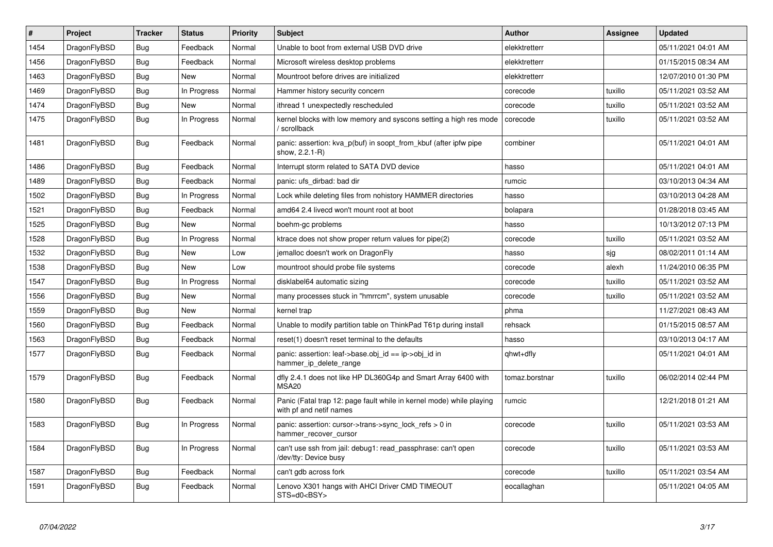| $\sharp$ | <b>Project</b> | <b>Tracker</b> | <b>Status</b> | <b>Priority</b> | <b>Subject</b>                                                                                  | <b>Author</b>  | <b>Assignee</b> | <b>Updated</b>      |
|----------|----------------|----------------|---------------|-----------------|-------------------------------------------------------------------------------------------------|----------------|-----------------|---------------------|
| 1454     | DragonFlyBSD   | <b>Bug</b>     | Feedback      | Normal          | Unable to boot from external USB DVD drive                                                      | elekktretterr  |                 | 05/11/2021 04:01 AM |
| 1456     | DragonFlyBSD   | <b>Bug</b>     | Feedback      | Normal          | Microsoft wireless desktop problems                                                             | elekktretterr  |                 | 01/15/2015 08:34 AM |
| 1463     | DragonFlyBSD   | <b>Bug</b>     | <b>New</b>    | Normal          | Mountroot before drives are initialized                                                         | elekktretterr  |                 | 12/07/2010 01:30 PM |
| 1469     | DragonFlyBSD   | <b>Bug</b>     | In Progress   | Normal          | Hammer history security concern                                                                 | corecode       | tuxillo         | 05/11/2021 03:52 AM |
| 1474     | DragonFlyBSD   | <b>Bug</b>     | <b>New</b>    | Normal          | ithread 1 unexpectedly rescheduled                                                              | corecode       | tuxillo         | 05/11/2021 03:52 AM |
| 1475     | DragonFlyBSD   | <b>Bug</b>     | In Progress   | Normal          | kernel blocks with low memory and syscons setting a high res mode<br>/ scrollback               | corecode       | tuxillo         | 05/11/2021 03:52 AM |
| 1481     | DragonFlyBSD   | <b>Bug</b>     | Feedback      | Normal          | panic: assertion: kva_p(buf) in soopt_from_kbuf (after ipfw pipe<br>show, 2.2.1-R)              | combiner       |                 | 05/11/2021 04:01 AM |
| 1486     | DragonFlyBSD   | <b>Bug</b>     | Feedback      | Normal          | Interrupt storm related to SATA DVD device                                                      | hasso          |                 | 05/11/2021 04:01 AM |
| 1489     | DragonFlyBSD   | <b>Bug</b>     | Feedback      | Normal          | panic: ufs dirbad: bad dir                                                                      | rumcic         |                 | 03/10/2013 04:34 AM |
| 1502     | DragonFlyBSD   | <b>Bug</b>     | In Progress   | Normal          | Lock while deleting files from nohistory HAMMER directories                                     | hasso          |                 | 03/10/2013 04:28 AM |
| 1521     | DragonFlyBSD   | <b>Bug</b>     | Feedback      | Normal          | amd64 2.4 livecd won't mount root at boot                                                       | bolapara       |                 | 01/28/2018 03:45 AM |
| 1525     | DragonFlyBSD   | <b>Bug</b>     | <b>New</b>    | Normal          | boehm-gc problems                                                                               | hasso          |                 | 10/13/2012 07:13 PM |
| 1528     | DragonFlyBSD   | <b>Bug</b>     | In Progress   | Normal          | ktrace does not show proper return values for pipe(2)                                           | corecode       | tuxillo         | 05/11/2021 03:52 AM |
| 1532     | DragonFlyBSD   | Bug            | <b>New</b>    | Low             | jemalloc doesn't work on DragonFly                                                              | hasso          | sjg             | 08/02/2011 01:14 AM |
| 1538     | DragonFlyBSD   | <b>Bug</b>     | <b>New</b>    | Low             | mountroot should probe file systems                                                             | corecode       | alexh           | 11/24/2010 06:35 PM |
| 1547     | DragonFlyBSD   | <b>Bug</b>     | In Progress   | Normal          | disklabel64 automatic sizing                                                                    | corecode       | tuxillo         | 05/11/2021 03:52 AM |
| 1556     | DragonFlyBSD   | <b>Bug</b>     | <b>New</b>    | Normal          | many processes stuck in "hmrrcm", system unusable                                               | corecode       | tuxillo         | 05/11/2021 03:52 AM |
| 1559     | DragonFlyBSD   | <b>Bug</b>     | <b>New</b>    | Normal          | kernel trap                                                                                     | phma           |                 | 11/27/2021 08:43 AM |
| 1560     | DragonFlyBSD   | <b>Bug</b>     | Feedback      | Normal          | Unable to modify partition table on ThinkPad T61p during install                                | rehsack        |                 | 01/15/2015 08:57 AM |
| 1563     | DragonFlyBSD   | Bug            | Feedback      | Normal          | reset(1) doesn't reset terminal to the defaults                                                 | hasso          |                 | 03/10/2013 04:17 AM |
| 1577     | DragonFlyBSD   | Bug            | Feedback      | Normal          | panic: assertion: leaf->base.obj_id == ip->obj_id in<br>hammer_ip_delete_range                  | qhwt+dfly      |                 | 05/11/2021 04:01 AM |
| 1579     | DragonFlyBSD   | <b>Bug</b>     | Feedback      | Normal          | dfly 2.4.1 does not like HP DL360G4p and Smart Array 6400 with<br><b>MSA20</b>                  | tomaz.borstnar | tuxillo         | 06/02/2014 02:44 PM |
| 1580     | DragonFlyBSD   | Bug            | Feedback      | Normal          | Panic (Fatal trap 12: page fault while in kernel mode) while playing<br>with pf and netif names | rumcic         |                 | 12/21/2018 01:21 AM |
| 1583     | DragonFlyBSD   | <b>Bug</b>     | In Progress   | Normal          | panic: assertion: cursor->trans->sync_lock_refs > 0 in<br>hammer_recover_cursor                 | corecode       | tuxillo         | 05/11/2021 03:53 AM |
| 1584     | DragonFlyBSD   | Bug            | In Progress   | Normal          | can't use ssh from jail: debug1: read_passphrase: can't open<br>/dev/tty: Device busy           | corecode       | tuxillo         | 05/11/2021 03:53 AM |
| 1587     | DragonFlyBSD   | <b>Bug</b>     | Feedback      | Normal          | can't gdb across fork                                                                           | corecode       | tuxillo         | 05/11/2021 03:54 AM |
| 1591     | DragonFlyBSD   | <b>Bug</b>     | Feedback      | Normal          | Lenovo X301 hangs with AHCI Driver CMD TIMEOUT<br>STS=d0 <bsy></bsy>                            | eocallaghan    |                 | 05/11/2021 04:05 AM |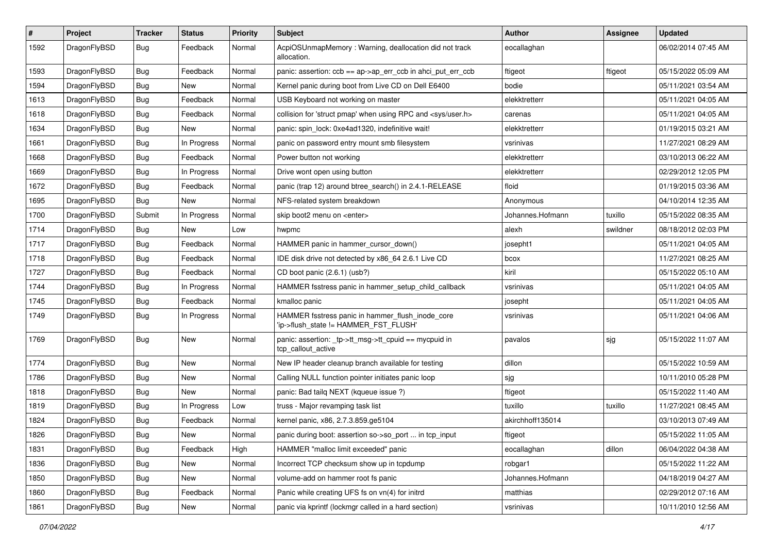| $\sharp$ | Project      | <b>Tracker</b> | <b>Status</b> | <b>Priority</b> | Subject                                                                                   | <b>Author</b>    | Assignee | <b>Updated</b>      |
|----------|--------------|----------------|---------------|-----------------|-------------------------------------------------------------------------------------------|------------------|----------|---------------------|
| 1592     | DragonFlyBSD | Bug            | Feedback      | Normal          | AcpiOSUnmapMemory: Warning, deallocation did not track<br>allocation.                     | eocallaghan      |          | 06/02/2014 07:45 AM |
| 1593     | DragonFlyBSD | Bug            | Feedback      | Normal          | panic: assertion: $ccb == ap > ap$ err $ccb$ in ahci put err $ccb$                        | ftigeot          | ftigeot  | 05/15/2022 05:09 AM |
| 1594     | DragonFlyBSD | <b>Bug</b>     | New           | Normal          | Kernel panic during boot from Live CD on Dell E6400                                       | bodie            |          | 05/11/2021 03:54 AM |
| 1613     | DragonFlyBSD | Bug            | Feedback      | Normal          | USB Keyboard not working on master                                                        | elekktretterr    |          | 05/11/2021 04:05 AM |
| 1618     | DragonFlyBSD | <b>Bug</b>     | Feedback      | Normal          | collision for 'struct pmap' when using RPC and <sys user.h=""></sys>                      | carenas          |          | 05/11/2021 04:05 AM |
| 1634     | DragonFlyBSD | <b>Bug</b>     | New           | Normal          | panic: spin_lock: 0xe4ad1320, indefinitive wait!                                          | elekktretterr    |          | 01/19/2015 03:21 AM |
| 1661     | DragonFlyBSD | Bug            | In Progress   | Normal          | panic on password entry mount smb filesystem                                              | vsrinivas        |          | 11/27/2021 08:29 AM |
| 1668     | DragonFlyBSD | Bug            | Feedback      | Normal          | Power button not working                                                                  | elekktretterr    |          | 03/10/2013 06:22 AM |
| 1669     | DragonFlyBSD | Bug            | In Progress   | Normal          | Drive wont open using button                                                              | elekktretterr    |          | 02/29/2012 12:05 PM |
| 1672     | DragonFlyBSD | Bug            | Feedback      | Normal          | panic (trap 12) around btree_search() in 2.4.1-RELEASE                                    | floid            |          | 01/19/2015 03:36 AM |
| 1695     | DragonFlyBSD | Bug            | New           | Normal          | NFS-related system breakdown                                                              | Anonymous        |          | 04/10/2014 12:35 AM |
| 1700     | DragonFlyBSD | Submit         | In Progress   | Normal          | skip boot2 menu on <enter></enter>                                                        | Johannes.Hofmann | tuxillo  | 05/15/2022 08:35 AM |
| 1714     | DragonFlyBSD | Bug            | New           | Low             | hwpmc                                                                                     | alexh            | swildner | 08/18/2012 02:03 PM |
| 1717     | DragonFlyBSD | Bug            | Feedback      | Normal          | HAMMER panic in hammer cursor down()                                                      | josepht1         |          | 05/11/2021 04:05 AM |
| 1718     | DragonFlyBSD | <b>Bug</b>     | Feedback      | Normal          | IDE disk drive not detected by x86_64 2.6.1 Live CD                                       | bcox             |          | 11/27/2021 08:25 AM |
| 1727     | DragonFlyBSD | <b>Bug</b>     | Feedback      | Normal          | CD boot panic (2.6.1) (usb?)                                                              | kiril            |          | 05/15/2022 05:10 AM |
| 1744     | DragonFlyBSD | Bug            | In Progress   | Normal          | HAMMER fsstress panic in hammer_setup_child_callback                                      | vsrinivas        |          | 05/11/2021 04:05 AM |
| 1745     | DragonFlyBSD | <b>Bug</b>     | Feedback      | Normal          | kmalloc panic                                                                             | josepht          |          | 05/11/2021 04:05 AM |
| 1749     | DragonFlyBSD | <b>Bug</b>     | In Progress   | Normal          | HAMMER fsstress panic in hammer_flush_inode_core<br>'ip->flush_state != HAMMER_FST_FLUSH' | vsrinivas        |          | 05/11/2021 04:06 AM |
| 1769     | DragonFlyBSD | Bug            | New           | Normal          | panic: assertion: _tp->tt_msg->tt_cpuid == mycpuid in<br>tcp callout active               | pavalos          | sjg      | 05/15/2022 11:07 AM |
| 1774     | DragonFlyBSD | <b>Bug</b>     | New           | Normal          | New IP header cleanup branch available for testing                                        | dillon           |          | 05/15/2022 10:59 AM |
| 1786     | DragonFlyBSD | Bug            | New           | Normal          | Calling NULL function pointer initiates panic loop                                        | sjg              |          | 10/11/2010 05:28 PM |
| 1818     | DragonFlyBSD | Bug            | <b>New</b>    | Normal          | panic: Bad tailg NEXT (kqueue issue ?)                                                    | ftigeot          |          | 05/15/2022 11:40 AM |
| 1819     | DragonFlyBSD | Bug            | In Progress   | Low             | truss - Major revamping task list                                                         | tuxillo          | tuxillo  | 11/27/2021 08:45 AM |
| 1824     | DragonFlyBSD | Bug            | Feedback      | Normal          | kernel panic, x86, 2.7.3.859.ge5104                                                       | akirchhoff135014 |          | 03/10/2013 07:49 AM |
| 1826     | DragonFlyBSD | Bug            | <b>New</b>    | Normal          | panic during boot: assertion so->so_port  in tcp_input                                    | ftigeot          |          | 05/15/2022 11:05 AM |
| 1831     | DragonFlyBSD | <b>Bug</b>     | Feedback      | High            | HAMMER "malloc limit exceeded" panic                                                      | eocallaghan      | dillon   | 06/04/2022 04:38 AM |
| 1836     | DragonFlyBSD | Bug            | <b>New</b>    | Normal          | Incorrect TCP checksum show up in tcpdump                                                 | robgar1          |          | 05/15/2022 11:22 AM |
| 1850     | DragonFlyBSD | Bug            | New           | Normal          | volume-add on hammer root fs panic                                                        | Johannes.Hofmann |          | 04/18/2019 04:27 AM |
| 1860     | DragonFlyBSD | Bug            | Feedback      | Normal          | Panic while creating UFS fs on vn(4) for initrd                                           | matthias         |          | 02/29/2012 07:16 AM |
| 1861     | DragonFlyBSD | <b>Bug</b>     | New           | Normal          | panic via kprintf (lockmgr called in a hard section)                                      | vsrinivas        |          | 10/11/2010 12:56 AM |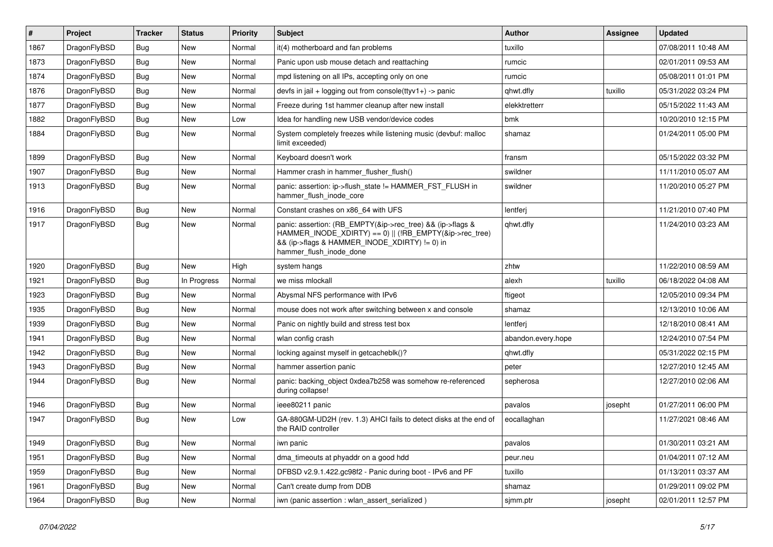| $\vert$ # | Project      | <b>Tracker</b> | <b>Status</b> | <b>Priority</b> | <b>Subject</b>                                                                                                                                                                                    | <b>Author</b>      | Assignee | <b>Updated</b>      |
|-----------|--------------|----------------|---------------|-----------------|---------------------------------------------------------------------------------------------------------------------------------------------------------------------------------------------------|--------------------|----------|---------------------|
| 1867      | DragonFlyBSD | Bug            | <b>New</b>    | Normal          | it(4) motherboard and fan problems                                                                                                                                                                | tuxillo            |          | 07/08/2011 10:48 AM |
| 1873      | DragonFlyBSD | <b>Bug</b>     | <b>New</b>    | Normal          | Panic upon usb mouse detach and reattaching                                                                                                                                                       | rumcic             |          | 02/01/2011 09:53 AM |
| 1874      | DragonFlyBSD | Bug            | <b>New</b>    | Normal          | mpd listening on all IPs, accepting only on one                                                                                                                                                   | rumcic             |          | 05/08/2011 01:01 PM |
| 1876      | DragonFlyBSD | Bug            | <b>New</b>    | Normal          | devfs in jail + logging out from console(ttyv1+) -> panic                                                                                                                                         | qhwt.dfly          | tuxillo  | 05/31/2022 03:24 PM |
| 1877      | DragonFlyBSD | <b>Bug</b>     | <b>New</b>    | Normal          | Freeze during 1st hammer cleanup after new install                                                                                                                                                | elekktretterr      |          | 05/15/2022 11:43 AM |
| 1882      | DragonFlyBSD | Bug            | <b>New</b>    | Low             | Idea for handling new USB vendor/device codes                                                                                                                                                     | bmk                |          | 10/20/2010 12:15 PM |
| 1884      | DragonFlyBSD | Bug            | <b>New</b>    | Normal          | System completely freezes while listening music (devbuf: malloc<br>limit exceeded)                                                                                                                | shamaz             |          | 01/24/2011 05:00 PM |
| 1899      | DragonFlyBSD | <b>Bug</b>     | <b>New</b>    | Normal          | Keyboard doesn't work                                                                                                                                                                             | fransm             |          | 05/15/2022 03:32 PM |
| 1907      | DragonFlyBSD | <b>Bug</b>     | <b>New</b>    | Normal          | Hammer crash in hammer_flusher_flush()                                                                                                                                                            | swildner           |          | 11/11/2010 05:07 AM |
| 1913      | DragonFlyBSD | Bug            | <b>New</b>    | Normal          | panic: assertion: ip->flush state != HAMMER FST FLUSH in<br>hammer_flush_inode_core                                                                                                               | swildner           |          | 11/20/2010 05:27 PM |
| 1916      | DragonFlyBSD | Bug            | <b>New</b>    | Normal          | Constant crashes on x86_64 with UFS                                                                                                                                                               | lentferj           |          | 11/21/2010 07:40 PM |
| 1917      | DragonFlyBSD | Bug            | <b>New</b>    | Normal          | panic: assertion: (RB_EMPTY(&ip->rec_tree) && (ip->flags &<br>HAMMER_INODE_XDIRTY) == 0)    (!RB_EMPTY(&ip->rec_tree)<br>&& (ip->flags & HAMMER_INODE_XDIRTY) != 0) in<br>hammer flush inode done | qhwt.dfly          |          | 11/24/2010 03:23 AM |
| 1920      | DragonFlyBSD | <b>Bug</b>     | <b>New</b>    | High            | system hangs                                                                                                                                                                                      | zhtw               |          | 11/22/2010 08:59 AM |
| 1921      | DragonFlyBSD | <b>Bug</b>     | In Progress   | Normal          | we miss mlockall                                                                                                                                                                                  | alexh              | tuxillo  | 06/18/2022 04:08 AM |
| 1923      | DragonFlyBSD | <b>Bug</b>     | <b>New</b>    | Normal          | Abysmal NFS performance with IPv6                                                                                                                                                                 | ftigeot            |          | 12/05/2010 09:34 PM |
| 1935      | DragonFlyBSD | <b>Bug</b>     | <b>New</b>    | Normal          | mouse does not work after switching between x and console                                                                                                                                         | shamaz             |          | 12/13/2010 10:06 AM |
| 1939      | DragonFlyBSD | <b>Bug</b>     | <b>New</b>    | Normal          | Panic on nightly build and stress test box                                                                                                                                                        | lentferj           |          | 12/18/2010 08:41 AM |
| 1941      | DragonFlyBSD | Bug            | <b>New</b>    | Normal          | wlan config crash                                                                                                                                                                                 | abandon.every.hope |          | 12/24/2010 07:54 PM |
| 1942      | DragonFlyBSD | <b>Bug</b>     | <b>New</b>    | Normal          | locking against myself in getcacheblk()?                                                                                                                                                          | qhwt.dfly          |          | 05/31/2022 02:15 PM |
| 1943      | DragonFlyBSD | Bug            | <b>New</b>    | Normal          | hammer assertion panic                                                                                                                                                                            | peter              |          | 12/27/2010 12:45 AM |
| 1944      | DragonFlyBSD | Bug            | <b>New</b>    | Normal          | panic: backing object 0xdea7b258 was somehow re-referenced<br>during collapse!                                                                                                                    | sepherosa          |          | 12/27/2010 02:06 AM |
| 1946      | DragonFlyBSD | Bug            | <b>New</b>    | Normal          | ieee80211 panic                                                                                                                                                                                   | pavalos            | josepht  | 01/27/2011 06:00 PM |
| 1947      | DragonFlyBSD | Bug            | <b>New</b>    | Low             | GA-880GM-UD2H (rev. 1.3) AHCI fails to detect disks at the end of<br>the RAID controller                                                                                                          | eocallaghan        |          | 11/27/2021 08:46 AM |
| 1949      | DragonFlyBSD | Bug            | New           | Normal          | iwn panic                                                                                                                                                                                         | pavalos            |          | 01/30/2011 03:21 AM |
| 1951      | DragonFlyBSD | <b>Bug</b>     | <b>New</b>    | Normal          | dma_timeouts at phyaddr on a good hdd                                                                                                                                                             | peur.neu           |          | 01/04/2011 07:12 AM |
| 1959      | DragonFlyBSD | Bug            | New           | Normal          | DFBSD v2.9.1.422.gc98f2 - Panic during boot - IPv6 and PF                                                                                                                                         | tuxillo            |          | 01/13/2011 03:37 AM |
| 1961      | DragonFlyBSD | <b>Bug</b>     | New           | Normal          | Can't create dump from DDB                                                                                                                                                                        | shamaz             |          | 01/29/2011 09:02 PM |
| 1964      | DragonFlyBSD | <b>Bug</b>     | New           | Normal          | iwn (panic assertion : wlan_assert_serialized)                                                                                                                                                    | sjmm.ptr           | josepht  | 02/01/2011 12:57 PM |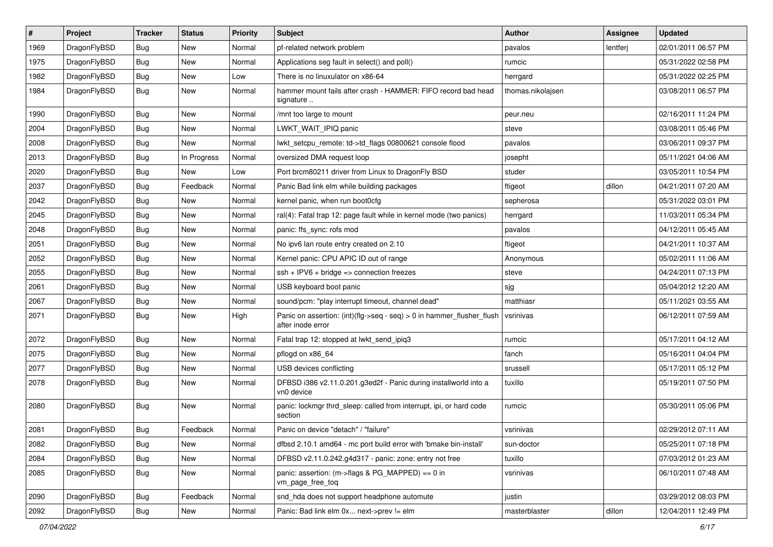| $\sharp$ | Project      | <b>Tracker</b> | <b>Status</b> | <b>Priority</b> | Subject                                                                                    | <b>Author</b>     | Assignee | <b>Updated</b>      |
|----------|--------------|----------------|---------------|-----------------|--------------------------------------------------------------------------------------------|-------------------|----------|---------------------|
| 1969     | DragonFlyBSD | <b>Bug</b>     | New           | Normal          | pf-related network problem                                                                 | pavalos           | lentferj | 02/01/2011 06:57 PM |
| 1975     | DragonFlyBSD | Bug            | New           | Normal          | Applications seg fault in select() and poll()                                              | rumcic            |          | 05/31/2022 02:58 PM |
| 1982     | DragonFlyBSD | <b>Bug</b>     | New           | Low             | There is no linuxulator on x86-64                                                          | herrgard          |          | 05/31/2022 02:25 PM |
| 1984     | DragonFlyBSD | <b>Bug</b>     | <b>New</b>    | Normal          | hammer mount fails after crash - HAMMER: FIFO record bad head<br>signature                 | thomas.nikolajsen |          | 03/08/2011 06:57 PM |
| 1990     | DragonFlyBSD | Bug            | New           | Normal          | /mnt too large to mount                                                                    | peur.neu          |          | 02/16/2011 11:24 PM |
| 2004     | DragonFlyBSD | <b>Bug</b>     | New           | Normal          | LWKT_WAIT_IPIQ panic                                                                       | steve             |          | 03/08/2011 05:46 PM |
| 2008     | DragonFlyBSD | <b>Bug</b>     | New           | Normal          | lwkt setcpu remote: td->td flags 00800621 console flood                                    | pavalos           |          | 03/06/2011 09:37 PM |
| 2013     | DragonFlyBSD | <b>Bug</b>     | In Progress   | Normal          | oversized DMA request loop                                                                 | josepht           |          | 05/11/2021 04:06 AM |
| 2020     | DragonFlyBSD | Bug            | <b>New</b>    | Low             | Port brcm80211 driver from Linux to DragonFly BSD                                          | studer            |          | 03/05/2011 10:54 PM |
| 2037     | DragonFlyBSD | <b>Bug</b>     | Feedback      | Normal          | Panic Bad link elm while building packages                                                 | ftigeot           | dillon   | 04/21/2011 07:20 AM |
| 2042     | DragonFlyBSD | <b>Bug</b>     | New           | Normal          | kernel panic, when run boot0cfg                                                            | sepherosa         |          | 05/31/2022 03:01 PM |
| 2045     | DragonFlyBSD | <b>Bug</b>     | New           | Normal          | ral(4): Fatal trap 12: page fault while in kernel mode (two panics)                        | herrgard          |          | 11/03/2011 05:34 PM |
| 2048     | DragonFlyBSD | <b>Bug</b>     | <b>New</b>    | Normal          | panic: ffs_sync: rofs mod                                                                  | pavalos           |          | 04/12/2011 05:45 AM |
| 2051     | DragonFlyBSD | Bug            | New           | Normal          | No ipv6 lan route entry created on 2.10                                                    | ftigeot           |          | 04/21/2011 10:37 AM |
| 2052     | DragonFlyBSD | <b>Bug</b>     | <b>New</b>    | Normal          | Kernel panic: CPU APIC ID out of range                                                     | Anonymous         |          | 05/02/2011 11:06 AM |
| 2055     | DragonFlyBSD | <b>Bug</b>     | New           | Normal          | $ssh + IPV6 + bridge \Rightarrow connection freezes$                                       | steve             |          | 04/24/2011 07:13 PM |
| 2061     | DragonFlyBSD | <b>Bug</b>     | <b>New</b>    | Normal          | USB keyboard boot panic                                                                    | sjg               |          | 05/04/2012 12:20 AM |
| 2067     | DragonFlyBSD | <b>Bug</b>     | New           | Normal          | sound/pcm: "play interrupt timeout, channel dead"                                          | matthiasr         |          | 05/11/2021 03:55 AM |
| 2071     | DragonFlyBSD | <b>Bug</b>     | New           | High            | Panic on assertion: (int)(flg->seq - seq) > 0 in hammer_flusher_flush<br>after inode error | vsrinivas         |          | 06/12/2011 07:59 AM |
| 2072     | DragonFlyBSD | Bug            | <b>New</b>    | Normal          | Fatal trap 12: stopped at lwkt_send_ipiq3                                                  | rumcic            |          | 05/17/2011 04:12 AM |
| 2075     | DragonFlyBSD | Bug            | New           | Normal          | pflogd on x86_64                                                                           | fanch             |          | 05/16/2011 04:04 PM |
| 2077     | DragonFlyBSD | <b>Bug</b>     | New           | Normal          | USB devices conflicting                                                                    | srussell          |          | 05/17/2011 05:12 PM |
| 2078     | DragonFlyBSD | <b>Bug</b>     | <b>New</b>    | Normal          | DFBSD i386 v2.11.0.201.g3ed2f - Panic during installworld into a<br>vn0 device             | tuxillo           |          | 05/19/2011 07:50 PM |
| 2080     | DragonFlyBSD | Bug            | New           | Normal          | panic: lockmgr thrd_sleep: called from interrupt, ipi, or hard code<br>section             | rumcic            |          | 05/30/2011 05:06 PM |
| 2081     | DragonFlyBSD | Bug            | Feedback      | Normal          | Panic on device "detach" / "failure"                                                       | vsrinivas         |          | 02/29/2012 07:11 AM |
| 2082     | DragonFlyBSD | <b>Bug</b>     | New           | Normal          | dfbsd 2.10.1 amd64 - mc port build error with 'bmake bin-install'                          | sun-doctor        |          | 05/25/2011 07:18 PM |
| 2084     | DragonFlyBSD | <b>Bug</b>     | <b>New</b>    | Normal          | DFBSD v2.11.0.242.g4d317 - panic: zone: entry not free                                     | tuxillo           |          | 07/03/2012 01:23 AM |
| 2085     | DragonFlyBSD | <b>Bug</b>     | New           | Normal          | panic: assertion: (m->flags & PG_MAPPED) == 0 in<br>vm_page_free_toq                       | vsrinivas         |          | 06/10/2011 07:48 AM |
| 2090     | DragonFlyBSD | Bug            | Feedback      | Normal          | snd_hda does not support headphone automute                                                | justin            |          | 03/29/2012 08:03 PM |
| 2092     | DragonFlyBSD | <b>Bug</b>     | New           | Normal          | Panic: Bad link elm 0x next->prev != elm                                                   | masterblaster     | dillon   | 12/04/2011 12:49 PM |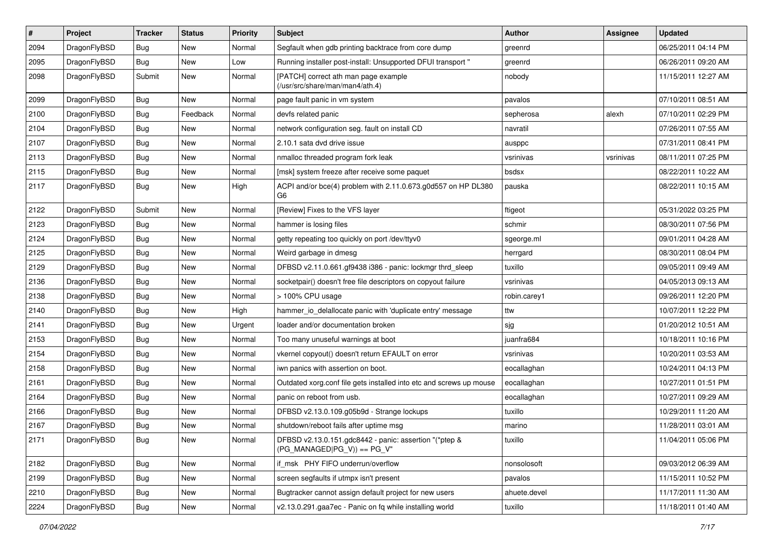| $\pmb{\#}$ | Project      | <b>Tracker</b> | <b>Status</b> | <b>Priority</b> | Subject                                                                                 | <b>Author</b> | Assignee  | <b>Updated</b>      |
|------------|--------------|----------------|---------------|-----------------|-----------------------------------------------------------------------------------------|---------------|-----------|---------------------|
| 2094       | DragonFlyBSD | Bug            | New           | Normal          | Segfault when gdb printing backtrace from core dump                                     | greenrd       |           | 06/25/2011 04:14 PM |
| 2095       | DragonFlyBSD | Bug            | <b>New</b>    | Low             | Running installer post-install: Unsupported DFUI transport "                            | greenrd       |           | 06/26/2011 09:20 AM |
| 2098       | DragonFlyBSD | Submit         | New           | Normal          | [PATCH] correct ath man page example<br>(/usr/src/share/man/man4/ath.4)                 | nobody        |           | 11/15/2011 12:27 AM |
| 2099       | DragonFlyBSD | Bug            | <b>New</b>    | Normal          | page fault panic in vm system                                                           | pavalos       |           | 07/10/2011 08:51 AM |
| 2100       | DragonFlyBSD | Bug            | Feedback      | Normal          | devfs related panic                                                                     | sepherosa     | alexh     | 07/10/2011 02:29 PM |
| 2104       | DragonFlyBSD | Bug            | <b>New</b>    | Normal          | network configuration seg. fault on install CD                                          | navratil      |           | 07/26/2011 07:55 AM |
| 2107       | DragonFlyBSD | Bug            | New           | Normal          | 2.10.1 sata dvd drive issue                                                             | ausppc        |           | 07/31/2011 08:41 PM |
| 2113       | DragonFlyBSD | Bug            | <b>New</b>    | Normal          | nmalloc threaded program fork leak                                                      | vsrinivas     | vsrinivas | 08/11/2011 07:25 PM |
| 2115       | DragonFlyBSD | Bug            | <b>New</b>    | Normal          | [msk] system freeze after receive some paquet                                           | bsdsx         |           | 08/22/2011 10:22 AM |
| 2117       | DragonFlyBSD | <b>Bug</b>     | <b>New</b>    | High            | ACPI and/or bce(4) problem with 2.11.0.673.g0d557 on HP DL380<br>G6                     | pauska        |           | 08/22/2011 10:15 AM |
| 2122       | DragonFlyBSD | Submit         | <b>New</b>    | Normal          | [Review] Fixes to the VFS layer                                                         | ftigeot       |           | 05/31/2022 03:25 PM |
| 2123       | DragonFlyBSD | Bug            | New           | Normal          | hammer is losing files                                                                  | schmir        |           | 08/30/2011 07:56 PM |
| 2124       | DragonFlyBSD | Bug            | <b>New</b>    | Normal          | getty repeating too quickly on port /dev/ttyv0                                          | sgeorge.ml    |           | 09/01/2011 04:28 AM |
| 2125       | DragonFlyBSD | Bug            | New           | Normal          | Weird garbage in dmesg                                                                  | herrgard      |           | 08/30/2011 08:04 PM |
| 2129       | DragonFlyBSD | Bug            | New           | Normal          | DFBSD v2.11.0.661.gf9438 i386 - panic: lockmgr thrd_sleep                               | tuxillo       |           | 09/05/2011 09:49 AM |
| 2136       | DragonFlyBSD | Bug            | <b>New</b>    | Normal          | socketpair() doesn't free file descriptors on copyout failure                           | vsrinivas     |           | 04/05/2013 09:13 AM |
| 2138       | DragonFlyBSD | <b>Bug</b>     | New           | Normal          | > 100% CPU usage                                                                        | robin.carey1  |           | 09/26/2011 12:20 PM |
| 2140       | DragonFlyBSD | Bug            | New           | High            | hammer_io_delallocate panic with 'duplicate entry' message                              | ttw           |           | 10/07/2011 12:22 PM |
| 2141       | DragonFlyBSD | <b>Bug</b>     | New           | Urgent          | loader and/or documentation broken                                                      | sjg           |           | 01/20/2012 10:51 AM |
| 2153       | DragonFlyBSD | Bug            | <b>New</b>    | Normal          | Too many unuseful warnings at boot                                                      | juanfra684    |           | 10/18/2011 10:16 PM |
| 2154       | DragonFlyBSD | Bug            | New           | Normal          | vkernel copyout() doesn't return EFAULT on error                                        | vsrinivas     |           | 10/20/2011 03:53 AM |
| 2158       | DragonFlyBSD | <b>Bug</b>     | New           | Normal          | iwn panics with assertion on boot.                                                      | eocallaghan   |           | 10/24/2011 04:13 PM |
| 2161       | DragonFlyBSD | Bug            | New           | Normal          | Outdated xorg.conf file gets installed into etc and screws up mouse                     | eocallaghan   |           | 10/27/2011 01:51 PM |
| 2164       | DragonFlyBSD | <b>Bug</b>     | <b>New</b>    | Normal          | panic on reboot from usb.                                                               | eocallaghan   |           | 10/27/2011 09:29 AM |
| 2166       | DragonFlyBSD | Bug            | New           | Normal          | DFBSD v2.13.0.109.g05b9d - Strange lockups                                              | tuxillo       |           | 10/29/2011 11:20 AM |
| 2167       | DragonFlyBSD | Bug            | New           | Normal          | shutdown/reboot fails after uptime msg                                                  | marino        |           | 11/28/2011 03:01 AM |
| 2171       | DragonFlyBSD | <b>Bug</b>     | New           | Normal          | DFBSD v2.13.0.151.gdc8442 - panic: assertion "(*ptep &<br>$(PG MANAGED PG V)) == PG V"$ | tuxillo       |           | 11/04/2011 05:06 PM |
| 2182       | DragonFlyBSD | Bug            | New           | Normal          | if msk PHY FIFO underrun/overflow                                                       | nonsolosoft   |           | 09/03/2012 06:39 AM |
| 2199       | DragonFlyBSD | <b>Bug</b>     | New           | Normal          | screen segfaults if utmpx isn't present                                                 | pavalos       |           | 11/15/2011 10:52 PM |
| 2210       | DragonFlyBSD | Bug            | New           | Normal          | Bugtracker cannot assign default project for new users                                  | ahuete.devel  |           | 11/17/2011 11:30 AM |
| 2224       | DragonFlyBSD | Bug            | New           | Normal          | v2.13.0.291.gaa7ec - Panic on fq while installing world                                 | tuxillo       |           | 11/18/2011 01:40 AM |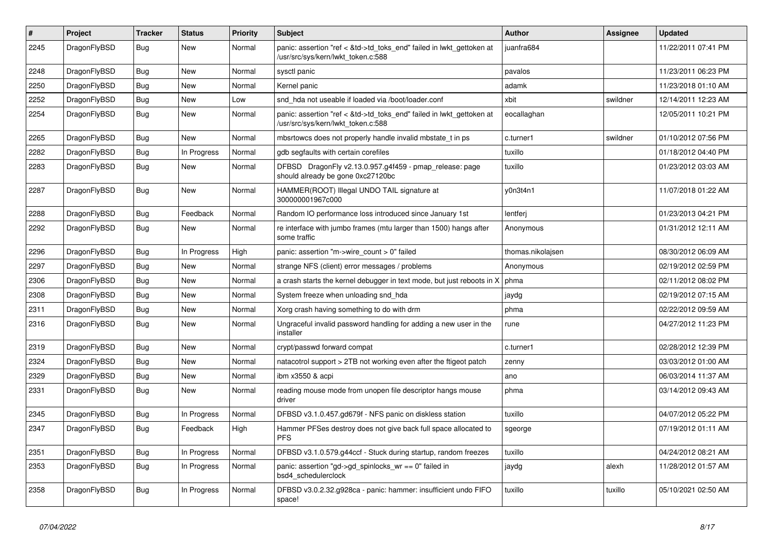| $\vert$ # | Project      | <b>Tracker</b> | <b>Status</b> | <b>Priority</b> | <b>Subject</b>                                                                                             | <b>Author</b>     | Assignee | Updated             |
|-----------|--------------|----------------|---------------|-----------------|------------------------------------------------------------------------------------------------------------|-------------------|----------|---------------------|
| 2245      | DragonFlyBSD | <b>Bug</b>     | <b>New</b>    | Normal          | panic: assertion "ref < &td->td toks end" failed in lwkt gettoken at<br>/usr/src/sys/kern/lwkt_token.c:588 | juanfra684        |          | 11/22/2011 07:41 PM |
| 2248      | DragonFlyBSD | <b>Bug</b>     | <b>New</b>    | Normal          | sysctl panic                                                                                               | pavalos           |          | 11/23/2011 06:23 PM |
| 2250      | DragonFlyBSD | <b>Bug</b>     | New           | Normal          | Kernel panic                                                                                               | adamk             |          | 11/23/2018 01:10 AM |
| 2252      | DragonFlyBSD | Bug            | <b>New</b>    | Low             | snd hda not useable if loaded via /boot/loader.conf                                                        | xbit              | swildner | 12/14/2011 12:23 AM |
| 2254      | DragonFlyBSD | <b>Bug</b>     | New           | Normal          | panic: assertion "ref < &td->td toks end" failed in lwkt gettoken at<br>/usr/src/sys/kern/lwkt_token.c:588 | eocallaghan       |          | 12/05/2011 10:21 PM |
| 2265      | DragonFlyBSD | <b>Bug</b>     | <b>New</b>    | Normal          | mbsrtowcs does not properly handle invalid mbstate_t in ps                                                 | c.turner1         | swildner | 01/10/2012 07:56 PM |
| 2282      | DragonFlyBSD | <b>Bug</b>     | In Progress   | Normal          | gdb segfaults with certain corefiles                                                                       | tuxillo           |          | 01/18/2012 04:40 PM |
| 2283      | DragonFlyBSD | <b>Bug</b>     | New           | Normal          | DFBSD DragonFly v2.13.0.957.g4f459 - pmap_release: page<br>should already be gone 0xc27120bc               | tuxillo           |          | 01/23/2012 03:03 AM |
| 2287      | DragonFlyBSD | Bug            | <b>New</b>    | Normal          | HAMMER(ROOT) Illegal UNDO TAIL signature at<br>300000001967c000                                            | y0n3t4n1          |          | 11/07/2018 01:22 AM |
| 2288      | DragonFlyBSD | <b>Bug</b>     | Feedback      | Normal          | Random IO performance loss introduced since January 1st                                                    | lentferi          |          | 01/23/2013 04:21 PM |
| 2292      | DragonFlyBSD | Bug            | New           | Normal          | re interface with jumbo frames (mtu larger than 1500) hangs after<br>some traffic                          | Anonymous         |          | 01/31/2012 12:11 AM |
| 2296      | DragonFlyBSD | <b>Bug</b>     | In Progress   | High            | panic: assertion "m->wire count > $0$ " failed                                                             | thomas.nikolajsen |          | 08/30/2012 06:09 AM |
| 2297      | DragonFlyBSD | <b>Bug</b>     | <b>New</b>    | Normal          | strange NFS (client) error messages / problems                                                             | Anonymous         |          | 02/19/2012 02:59 PM |
| 2306      | DragonFlyBSD | <b>Bug</b>     | New           | Normal          | a crash starts the kernel debugger in text mode, but just reboots in X                                     | phma              |          | 02/11/2012 08:02 PM |
| 2308      | DragonFlyBSD | <b>Bug</b>     | New           | Normal          | System freeze when unloading snd_hda                                                                       | jaydg             |          | 02/19/2012 07:15 AM |
| 2311      | DragonFlyBSD | Bug            | New           | Normal          | Xorg crash having something to do with drm                                                                 | phma              |          | 02/22/2012 09:59 AM |
| 2316      | DragonFlyBSD | <b>Bug</b>     | New           | Normal          | Ungraceful invalid password handling for adding a new user in the<br>installer                             | rune              |          | 04/27/2012 11:23 PM |
| 2319      | DragonFlyBSD | Bug            | <b>New</b>    | Normal          | crypt/passwd forward compat                                                                                | c.turner1         |          | 02/28/2012 12:39 PM |
| 2324      | DragonFlyBSD | <b>Bug</b>     | <b>New</b>    | Normal          | natacotrol support > 2TB not working even after the ftigeot patch                                          | zenny             |          | 03/03/2012 01:00 AM |
| 2329      | DragonFlyBSD | Bug            | <b>New</b>    | Normal          | ibm x3550 & acpi                                                                                           | ano               |          | 06/03/2014 11:37 AM |
| 2331      | DragonFlyBSD | <b>Bug</b>     | New           | Normal          | reading mouse mode from unopen file descriptor hangs mouse<br>driver                                       | phma              |          | 03/14/2012 09:43 AM |
| 2345      | DragonFlyBSD | <b>Bug</b>     | In Progress   | Normal          | DFBSD v3.1.0.457.gd679f - NFS panic on diskless station                                                    | tuxillo           |          | 04/07/2012 05:22 PM |
| 2347      | DragonFlyBSD | <b>Bug</b>     | Feedback      | High            | Hammer PFSes destroy does not give back full space allocated to<br><b>PFS</b>                              | sgeorge           |          | 07/19/2012 01:11 AM |
| 2351      | DragonFlyBSD | <b>Bug</b>     | In Progress   | Normal          | DFBSD v3.1.0.579.g44ccf - Stuck during startup, random freezes                                             | tuxillo           |          | 04/24/2012 08:21 AM |
| 2353      | DragonFlyBSD | Bug            | In Progress   | Normal          | panic: assertion "gd->gd spinlocks $wr == 0$ " failed in<br>bsd4 schedulerclock                            | jaydg             | alexh    | 11/28/2012 01:57 AM |
| 2358      | DragonFlyBSD | Bug            | In Progress   | Normal          | DFBSD v3.0.2.32.g928ca - panic: hammer: insufficient undo FIFO<br>space!                                   | tuxillo           | tuxillo  | 05/10/2021 02:50 AM |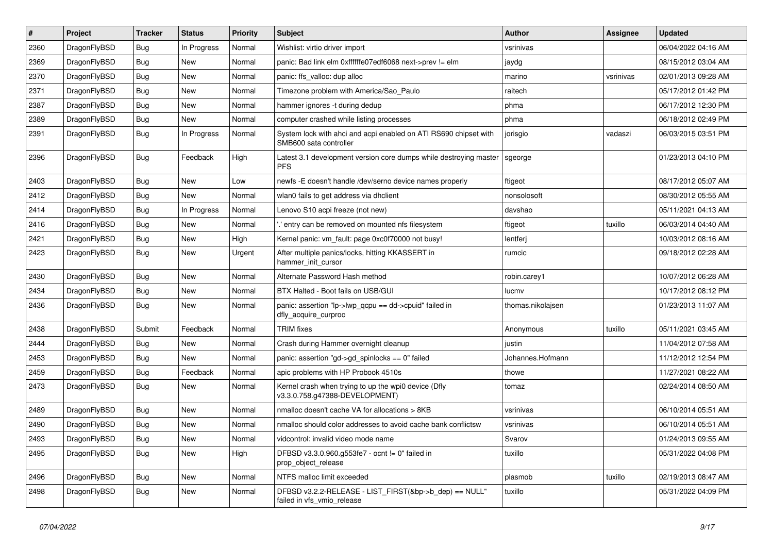| #    | Project      | <b>Tracker</b> | <b>Status</b> | <b>Priority</b> | Subject                                                                                    | <b>Author</b>     | Assignee  | <b>Updated</b>      |
|------|--------------|----------------|---------------|-----------------|--------------------------------------------------------------------------------------------|-------------------|-----------|---------------------|
| 2360 | DragonFlyBSD | Bug            | In Progress   | Normal          | Wishlist: virtio driver import                                                             | vsrinivas         |           | 06/04/2022 04:16 AM |
| 2369 | DragonFlyBSD | <b>Bug</b>     | <b>New</b>    | Normal          | panic: Bad link elm 0xffffffe07edf6068 next->prev != elm                                   | jaydg             |           | 08/15/2012 03:04 AM |
| 2370 | DragonFlyBSD | <b>Bug</b>     | New           | Normal          | panic: ffs valloc: dup alloc                                                               | marino            | vsrinivas | 02/01/2013 09:28 AM |
| 2371 | DragonFlyBSD | <b>Bug</b>     | New           | Normal          | Timezone problem with America/Sao_Paulo                                                    | raitech           |           | 05/17/2012 01:42 PM |
| 2387 | DragonFlyBSD | <b>Bug</b>     | <b>New</b>    | Normal          | hammer ignores -t during dedup                                                             | phma              |           | 06/17/2012 12:30 PM |
| 2389 | DragonFlyBSD | <b>Bug</b>     | <b>New</b>    | Normal          | computer crashed while listing processes                                                   | phma              |           | 06/18/2012 02:49 PM |
| 2391 | DragonFlyBSD | <b>Bug</b>     | In Progress   | Normal          | System lock with ahci and acpi enabled on ATI RS690 chipset with<br>SMB600 sata controller | jorisgio          | vadaszi   | 06/03/2015 03:51 PM |
| 2396 | DragonFlyBSD | <b>Bug</b>     | Feedback      | High            | Latest 3.1 development version core dumps while destroying master<br><b>PFS</b>            | sgeorge           |           | 01/23/2013 04:10 PM |
| 2403 | DragonFlyBSD | <b>Bug</b>     | <b>New</b>    | Low             | newfs - E doesn't handle /dev/serno device names properly                                  | ftigeot           |           | 08/17/2012 05:07 AM |
| 2412 | DragonFlyBSD | <b>Bug</b>     | <b>New</b>    | Normal          | wlan0 fails to get address via dhclient                                                    | nonsolosoft       |           | 08/30/2012 05:55 AM |
| 2414 | DragonFlyBSD | <b>Bug</b>     | In Progress   | Normal          | Lenovo S10 acpi freeze (not new)                                                           | davshao           |           | 05/11/2021 04:13 AM |
| 2416 | DragonFlyBSD | <b>Bug</b>     | <b>New</b>    | Normal          | ".' entry can be removed on mounted nfs filesystem                                         | ftigeot           | tuxillo   | 06/03/2014 04:40 AM |
| 2421 | DragonFlyBSD | <b>Bug</b>     | <b>New</b>    | High            | Kernel panic: vm fault: page 0xc0f70000 not busy!                                          | lentferj          |           | 10/03/2012 08:16 AM |
| 2423 | DragonFlyBSD | <b>Bug</b>     | New           | Urgent          | After multiple panics/locks, hitting KKASSERT in<br>hammer init cursor                     | rumcic            |           | 09/18/2012 02:28 AM |
| 2430 | DragonFlyBSD | Bug            | <b>New</b>    | Normal          | Alternate Password Hash method                                                             | robin.carey1      |           | 10/07/2012 06:28 AM |
| 2434 | DragonFlyBSD | Bug            | <b>New</b>    | Normal          | BTX Halted - Boot fails on USB/GUI                                                         | lucmv             |           | 10/17/2012 08:12 PM |
| 2436 | DragonFlyBSD | Bug            | New           | Normal          | panic: assertion "lp->lwp_qcpu == dd->cpuid" failed in<br>dfly_acquire_curproc             | thomas.nikolajsen |           | 01/23/2013 11:07 AM |
| 2438 | DragonFlyBSD | Submit         | Feedback      | Normal          | <b>TRIM</b> fixes                                                                          | Anonymous         | tuxillo   | 05/11/2021 03:45 AM |
| 2444 | DragonFlyBSD | Bug            | <b>New</b>    | Normal          | Crash during Hammer overnight cleanup                                                      | justin            |           | 11/04/2012 07:58 AM |
| 2453 | DragonFlyBSD | Bug            | New           | Normal          | panic: assertion "gd->gd spinlocks == $0$ " failed                                         | Johannes.Hofmann  |           | 11/12/2012 12:54 PM |
| 2459 | DragonFlyBSD | Bug            | Feedback      | Normal          | apic problems with HP Probook 4510s                                                        | thowe             |           | 11/27/2021 08:22 AM |
| 2473 | DragonFlyBSD | Bug            | <b>New</b>    | Normal          | Kernel crash when trying to up the wpi0 device (Dfly<br>v3.3.0.758.g47388-DEVELOPMENT)     | tomaz             |           | 02/24/2014 08:50 AM |
| 2489 | DragonFlyBSD | Bug            | <b>New</b>    | Normal          | nmalloc doesn't cache VA for allocations > 8KB                                             | vsrinivas         |           | 06/10/2014 05:51 AM |
| 2490 | DragonFlyBSD | Bug            | New           | Normal          | nmalloc should color addresses to avoid cache bank conflictsw                              | vsrinivas         |           | 06/10/2014 05:51 AM |
| 2493 | DragonFlyBSD | <b>Bug</b>     | New           | Normal          | vidcontrol: invalid video mode name                                                        | Svarov            |           | 01/24/2013 09:55 AM |
| 2495 | DragonFlyBSD | <b>Bug</b>     | New           | High            | DFBSD v3.3.0.960.g553fe7 - ocnt != 0" failed in<br>prop_object_release                     | tuxillo           |           | 05/31/2022 04:08 PM |
| 2496 | DragonFlyBSD | <b>Bug</b>     | New           | Normal          | NTFS malloc limit exceeded                                                                 | plasmob           | tuxillo   | 02/19/2013 08:47 AM |
| 2498 | DragonFlyBSD | <b>Bug</b>     | New           | Normal          | DFBSD v3.2.2-RELEASE - LIST_FIRST(&bp->b_dep) == NULL"<br>failed in vfs vmio release       | tuxillo           |           | 05/31/2022 04:09 PM |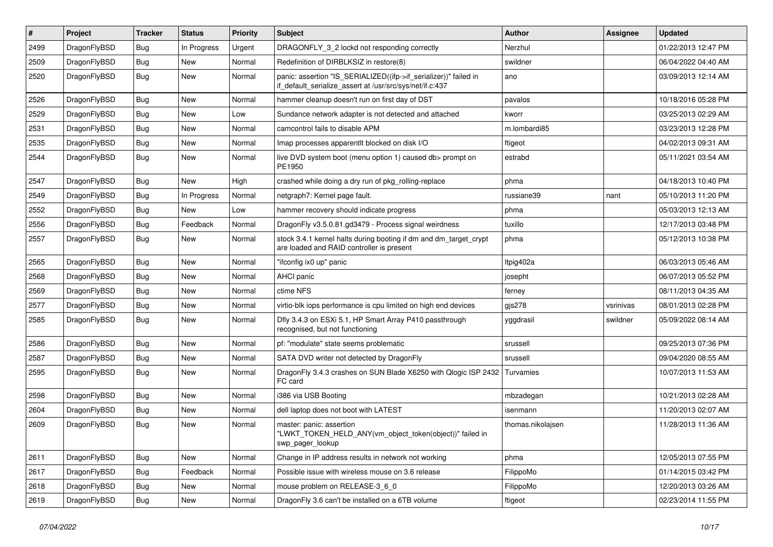| #    | Project      | <b>Tracker</b> | <b>Status</b> | <b>Priority</b> | <b>Subject</b>                                                                                                               | <b>Author</b>     | <b>Assignee</b> | <b>Updated</b>      |
|------|--------------|----------------|---------------|-----------------|------------------------------------------------------------------------------------------------------------------------------|-------------------|-----------------|---------------------|
| 2499 | DragonFlyBSD | <b>Bug</b>     | In Progress   | Urgent          | DRAGONFLY 3 2 lockd not responding correctly                                                                                 | Nerzhul           |                 | 01/22/2013 12:47 PM |
| 2509 | DragonFlyBSD | Bug            | <b>New</b>    | Normal          | Redefinition of DIRBLKSIZ in restore(8)                                                                                      | swildner          |                 | 06/04/2022 04:40 AM |
| 2520 | DragonFlyBSD | <b>Bug</b>     | New           | Normal          | panic: assertion "IS_SERIALIZED((ifp->if_serializer))" failed in<br>if_default_serialize_assert at /usr/src/sys/net/if.c:437 | ano               |                 | 03/09/2013 12:14 AM |
| 2526 | DragonFlyBSD | Bug            | <b>New</b>    | Normal          | hammer cleanup doesn't run on first day of DST                                                                               | pavalos           |                 | 10/18/2016 05:28 PM |
| 2529 | DragonFlyBSD | <b>Bug</b>     | <b>New</b>    | Low             | Sundance network adapter is not detected and attached                                                                        | kworr             |                 | 03/25/2013 02:29 AM |
| 2531 | DragonFlyBSD | <b>Bug</b>     | <b>New</b>    | Normal          | camcontrol fails to disable APM                                                                                              | m.lombardi85      |                 | 03/23/2013 12:28 PM |
| 2535 | DragonFlyBSD | <b>Bug</b>     | <b>New</b>    | Normal          | Imap processes apparentlt blocked on disk I/O                                                                                | ftigeot           |                 | 04/02/2013 09:31 AM |
| 2544 | DragonFlyBSD | Bug            | <b>New</b>    | Normal          | live DVD system boot (menu option 1) caused db> prompt on<br>PE1950                                                          | estrabd           |                 | 05/11/2021 03:54 AM |
| 2547 | DragonFlyBSD | <b>Bug</b>     | <b>New</b>    | High            | crashed while doing a dry run of pkg rolling-replace                                                                         | phma              |                 | 04/18/2013 10:40 PM |
| 2549 | DragonFlyBSD | Bug            | In Progress   | Normal          | netgraph7: Kernel page fault.                                                                                                | russiane39        | nant            | 05/10/2013 11:20 PM |
| 2552 | DragonFlyBSD | <b>Bug</b>     | <b>New</b>    | Low             | hammer recovery should indicate progress                                                                                     | phma              |                 | 05/03/2013 12:13 AM |
| 2556 | DragonFlyBSD | <b>Bug</b>     | Feedback      | Normal          | DragonFly v3.5.0.81.gd3479 - Process signal weirdness                                                                        | tuxillo           |                 | 12/17/2013 03:48 PM |
| 2557 | DragonFlyBSD | Bug            | New           | Normal          | stock 3.4.1 kernel halts during booting if dm and dm_target_crypt<br>are loaded and RAID controller is present               | phma              |                 | 05/12/2013 10:38 PM |
| 2565 | DragonFlyBSD | Bug            | <b>New</b>    | Normal          | "ifconfig ix0 up" panic                                                                                                      | Itpig402a         |                 | 06/03/2013 05:46 AM |
| 2568 | DragonFlyBSD | <b>Bug</b>     | <b>New</b>    | Normal          | AHCI panic                                                                                                                   | josepht           |                 | 06/07/2013 05:52 PM |
| 2569 | DragonFlyBSD | <b>Bug</b>     | <b>New</b>    | Normal          | ctime NFS                                                                                                                    | ferney            |                 | 08/11/2013 04:35 AM |
| 2577 | DragonFlyBSD | Bug            | <b>New</b>    | Normal          | virtio-blk iops performance is cpu limited on high end devices                                                               | gjs278            | vsrinivas       | 08/01/2013 02:28 PM |
| 2585 | DragonFlyBSD | Bug            | New           | Normal          | Dfly 3.4.3 on ESXi 5.1, HP Smart Array P410 passthrough<br>recognised, but not functioning                                   | yggdrasil         | swildner        | 05/09/2022 08:14 AM |
| 2586 | DragonFlyBSD | <b>Bug</b>     | <b>New</b>    | Normal          | pf: "modulate" state seems problematic                                                                                       | srussell          |                 | 09/25/2013 07:36 PM |
| 2587 | DragonFlyBSD | <b>Bug</b>     | <b>New</b>    | Normal          | SATA DVD writer not detected by DragonFly                                                                                    | srussell          |                 | 09/04/2020 08:55 AM |
| 2595 | DragonFlyBSD | Bug            | <b>New</b>    | Normal          | DragonFly 3.4.3 crashes on SUN Blade X6250 with Qlogic ISP 2432<br>FC card                                                   | Turvamies         |                 | 10/07/2013 11:53 AM |
| 2598 | DragonFlyBSD | Bug            | <b>New</b>    | Normal          | i386 via USB Booting                                                                                                         | mbzadegan         |                 | 10/21/2013 02:28 AM |
| 2604 | DragonFlyBSD | Bug            | <b>New</b>    | Normal          | dell laptop does not boot with LATEST                                                                                        | isenmann          |                 | 11/20/2013 02:07 AM |
| 2609 | DragonFlyBSD | <b>Bug</b>     | <b>New</b>    | Normal          | master: panic: assertion<br>"LWKT_TOKEN_HELD_ANY(vm_object_token(object))" failed in<br>swp_pager_lookup                     | thomas.nikolajsen |                 | 11/28/2013 11:36 AM |
| 2611 | DragonFlyBSD | <b>Bug</b>     | New           | Normal          | Change in IP address results in network not working                                                                          | phma              |                 | 12/05/2013 07:55 PM |
| 2617 | DragonFlyBSD | <b>Bug</b>     | Feedback      | Normal          | Possible issue with wireless mouse on 3.6 release                                                                            | FilippoMo         |                 | 01/14/2015 03:42 PM |
| 2618 | DragonFlyBSD | <b>Bug</b>     | New           | Normal          | mouse problem on RELEASE-3 6 0                                                                                               | FilippoMo         |                 | 12/20/2013 03:26 AM |
| 2619 | DragonFlyBSD | <b>Bug</b>     | New           | Normal          | DragonFly 3.6 can't be installed on a 6TB volume                                                                             | ftigeot           |                 | 02/23/2014 11:55 PM |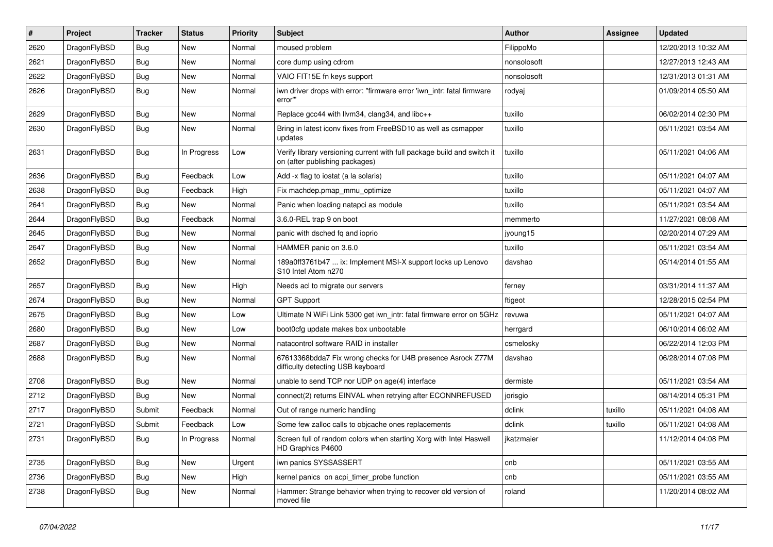| #    | Project      | <b>Tracker</b> | <b>Status</b> | <b>Priority</b> | <b>Subject</b>                                                                                            | Author      | Assignee | <b>Updated</b>      |
|------|--------------|----------------|---------------|-----------------|-----------------------------------------------------------------------------------------------------------|-------------|----------|---------------------|
| 2620 | DragonFlyBSD | <b>Bug</b>     | <b>New</b>    | Normal          | moused problem                                                                                            | FilippoMo   |          | 12/20/2013 10:32 AM |
| 2621 | DragonFlyBSD | Bug            | <b>New</b>    | Normal          | core dump using cdrom                                                                                     | nonsolosoft |          | 12/27/2013 12:43 AM |
| 2622 | DragonFlyBSD | <b>Bug</b>     | <b>New</b>    | Normal          | VAIO FIT15E fn keys support                                                                               | nonsolosoft |          | 12/31/2013 01:31 AM |
| 2626 | DragonFlyBSD | Bug            | New           | Normal          | iwn driver drops with error: "firmware error 'iwn_intr: fatal firmware<br>error'"                         | rodyaj      |          | 01/09/2014 05:50 AM |
| 2629 | DragonFlyBSD | Bug            | New           | Normal          | Replace gcc44 with llvm34, clang34, and libc++                                                            | tuxillo     |          | 06/02/2014 02:30 PM |
| 2630 | DragonFlyBSD | Bug            | <b>New</b>    | Normal          | Bring in latest iconv fixes from FreeBSD10 as well as csmapper<br>updates                                 | tuxillo     |          | 05/11/2021 03:54 AM |
| 2631 | DragonFlyBSD | Bug            | In Progress   | Low             | Verify library versioning current with full package build and switch it<br>on (after publishing packages) | tuxillo     |          | 05/11/2021 04:06 AM |
| 2636 | DragonFlyBSD | <b>Bug</b>     | Feedback      | Low             | Add -x flag to iostat (a la solaris)                                                                      | tuxillo     |          | 05/11/2021 04:07 AM |
| 2638 | DragonFlyBSD | Bug            | Feedback      | High            | Fix machdep.pmap_mmu_optimize                                                                             | tuxillo     |          | 05/11/2021 04:07 AM |
| 2641 | DragonFlyBSD | Bug            | New           | Normal          | Panic when loading natapci as module                                                                      | tuxillo     |          | 05/11/2021 03:54 AM |
| 2644 | DragonFlyBSD | <b>Bug</b>     | Feedback      | Normal          | 3.6.0-REL trap 9 on boot                                                                                  | memmerto    |          | 11/27/2021 08:08 AM |
| 2645 | DragonFlyBSD | Bug            | <b>New</b>    | Normal          | panic with dsched fq and ioprio                                                                           | jyoung15    |          | 02/20/2014 07:29 AM |
| 2647 | DragonFlyBSD | <b>Bug</b>     | New           | Normal          | HAMMER panic on 3.6.0                                                                                     | tuxillo     |          | 05/11/2021 03:54 AM |
| 2652 | DragonFlyBSD | Bug            | <b>New</b>    | Normal          | 189a0ff3761b47  ix: Implement MSI-X support locks up Lenovo<br>S10 Intel Atom n270                        | davshao     |          | 05/14/2014 01:55 AM |
| 2657 | DragonFlyBSD | <b>Bug</b>     | <b>New</b>    | High            | Needs acl to migrate our servers                                                                          | ferney      |          | 03/31/2014 11:37 AM |
| 2674 | DragonFlyBSD | Bug            | <b>New</b>    | Normal          | <b>GPT Support</b>                                                                                        | ftigeot     |          | 12/28/2015 02:54 PM |
| 2675 | DragonFlyBSD | Bug            | <b>New</b>    | Low             | Ultimate N WiFi Link 5300 get iwn_intr: fatal firmware error on 5GHz                                      | revuwa      |          | 05/11/2021 04:07 AM |
| 2680 | DragonFlyBSD | <b>Bug</b>     | New           | Low             | boot0cfg update makes box unbootable                                                                      | herrgard    |          | 06/10/2014 06:02 AM |
| 2687 | DragonFlyBSD | Bug            | <b>New</b>    | Normal          | natacontrol software RAID in installer                                                                    | csmelosky   |          | 06/22/2014 12:03 PM |
| 2688 | DragonFlyBSD | <b>Bug</b>     | New           | Normal          | 67613368bdda7 Fix wrong checks for U4B presence Asrock Z77M<br>difficulty detecting USB keyboard          | davshao     |          | 06/28/2014 07:08 PM |
| 2708 | DragonFlyBSD | Bug            | <b>New</b>    | Normal          | unable to send TCP nor UDP on age(4) interface                                                            | dermiste    |          | 05/11/2021 03:54 AM |
| 2712 | DragonFlyBSD | Bug            | <b>New</b>    | Normal          | connect(2) returns EINVAL when retrying after ECONNREFUSED                                                | jorisgio    |          | 08/14/2014 05:31 PM |
| 2717 | DragonFlyBSD | Submit         | Feedback      | Normal          | Out of range numeric handling                                                                             | dclink      | tuxillo  | 05/11/2021 04:08 AM |
| 2721 | DragonFlyBSD | Submit         | Feedback      | Low             | Some few zalloc calls to objcache ones replacements                                                       | dclink      | tuxillo  | 05/11/2021 04:08 AM |
| 2731 | DragonFlyBSD | Bug            | In Progress   | Normal          | Screen full of random colors when starting Xorg with Intel Haswell<br>HD Graphics P4600                   | jkatzmaier  |          | 11/12/2014 04:08 PM |
| 2735 | DragonFlyBSD | <b>Bug</b>     | New           | Urgent          | iwn panics SYSSASSERT                                                                                     | cnb         |          | 05/11/2021 03:55 AM |
| 2736 | DragonFlyBSD | <b>Bug</b>     | New           | High            | kernel panics on acpi_timer_probe function                                                                | cnb         |          | 05/11/2021 03:55 AM |
| 2738 | DragonFlyBSD | <b>Bug</b>     | New           | Normal          | Hammer: Strange behavior when trying to recover old version of<br>moved file                              | roland      |          | 11/20/2014 08:02 AM |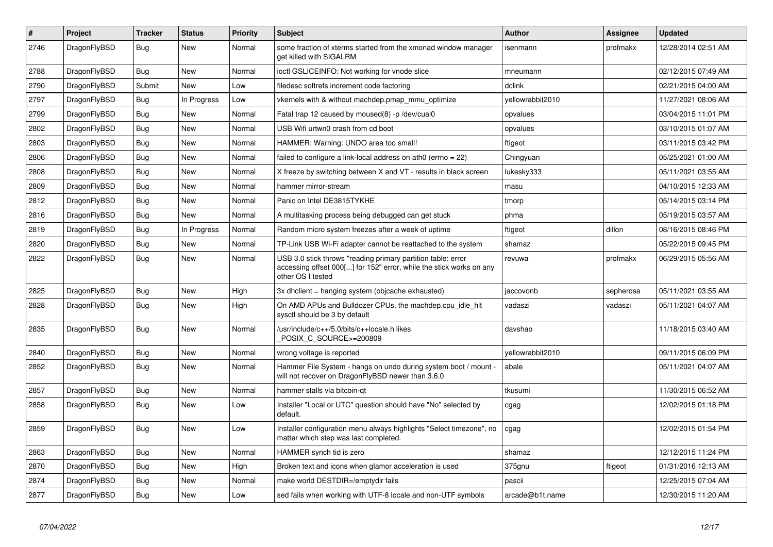| $\vert$ # | Project      | <b>Tracker</b> | <b>Status</b> | <b>Priority</b> | <b>Subject</b>                                                                                                                                           | <b>Author</b>    | Assignee  | <b>Updated</b>      |
|-----------|--------------|----------------|---------------|-----------------|----------------------------------------------------------------------------------------------------------------------------------------------------------|------------------|-----------|---------------------|
| 2746      | DragonFlyBSD | Bug            | New           | Normal          | some fraction of xterms started from the xmonad window manager<br>get killed with SIGALRM                                                                | isenmann         | profmakx  | 12/28/2014 02:51 AM |
| 2788      | DragonFlyBSD | Bug            | <b>New</b>    | Normal          | ioctl GSLICEINFO: Not working for vnode slice                                                                                                            | mneumann         |           | 02/12/2015 07:49 AM |
| 2790      | DragonFlyBSD | Submit         | <b>New</b>    | Low             | filedesc softrefs increment code factoring                                                                                                               | dclink           |           | 02/21/2015 04:00 AM |
| 2797      | DragonFlyBSD | Bug            | In Progress   | Low             | vkernels with & without machdep.pmap mmu optimize                                                                                                        | yellowrabbit2010 |           | 11/27/2021 08:06 AM |
| 2799      | DragonFlyBSD | Bug            | New           | Normal          | Fatal trap 12 caused by moused(8) -p /dev/cual0                                                                                                          | opvalues         |           | 03/04/2015 11:01 PM |
| 2802      | DragonFlyBSD | Bug            | New           | Normal          | USB Wifi urtwn0 crash from cd boot                                                                                                                       | opvalues         |           | 03/10/2015 01:07 AM |
| 2803      | DragonFlyBSD | Bug            | New           | Normal          | HAMMER: Warning: UNDO area too small!                                                                                                                    | ftigeot          |           | 03/11/2015 03:42 PM |
| 2806      | DragonFlyBSD | <b>Bug</b>     | New           | Normal          | failed to configure a link-local address on ath0 (errno = 22)                                                                                            | Chingyuan        |           | 05/25/2021 01:00 AM |
| 2808      | DragonFlyBSD | Bug            | New           | Normal          | X freeze by switching between X and VT - results in black screen                                                                                         | lukesky333       |           | 05/11/2021 03:55 AM |
| 2809      | DragonFlyBSD | Bug            | New           | Normal          | hammer mirror-stream                                                                                                                                     | masu             |           | 04/10/2015 12:33 AM |
| 2812      | DragonFlyBSD | <b>Bug</b>     | <b>New</b>    | Normal          | Panic on Intel DE3815TYKHE                                                                                                                               | tmorp            |           | 05/14/2015 03:14 PM |
| 2816      | DragonFlyBSD | Bug            | New           | Normal          | A multitasking process being debugged can get stuck                                                                                                      | phma             |           | 05/19/2015 03:57 AM |
| 2819      | DragonFlyBSD | <b>Bug</b>     | In Progress   | Normal          | Random micro system freezes after a week of uptime                                                                                                       | ftigeot          | dillon    | 08/16/2015 08:46 PM |
| 2820      | DragonFlyBSD | <b>Bug</b>     | <b>New</b>    | Normal          | TP-Link USB Wi-Fi adapter cannot be reattached to the system                                                                                             | shamaz           |           | 05/22/2015 09:45 PM |
| 2822      | DragonFlyBSD | Bug            | <b>New</b>    | Normal          | USB 3.0 stick throws "reading primary partition table: error<br>accessing offset 000[] for 152" error, while the stick works on any<br>other OS I tested | revuwa           | profmakx  | 06/29/2015 05:56 AM |
| 2825      | DragonFlyBSD | Bug            | New           | High            | 3x dhclient = hanging system (objcache exhausted)                                                                                                        | jaccovonb        | sepherosa | 05/11/2021 03:55 AM |
| 2828      | DragonFlyBSD | <b>Bug</b>     | New           | High            | On AMD APUs and Bulldozer CPUs, the machdep.cpu idle hit<br>sysctl should be 3 by default                                                                | vadaszi          | vadaszi   | 05/11/2021 04:07 AM |
| 2835      | DragonFlyBSD | Bug            | <b>New</b>    | Normal          | /usr/include/c++/5.0/bits/c++locale.h likes<br>POSIX_C_SOURCE>=200809                                                                                    | davshao          |           | 11/18/2015 03:40 AM |
| 2840      | DragonFlyBSD | Bug            | <b>New</b>    | Normal          | wrong voltage is reported                                                                                                                                | vellowrabbit2010 |           | 09/11/2015 06:09 PM |
| 2852      | DragonFlyBSD | <b>Bug</b>     | <b>New</b>    | Normal          | Hammer File System - hangs on undo during system boot / mount -<br>will not recover on DragonFlyBSD newer than 3.6.0                                     | abale            |           | 05/11/2021 04:07 AM |
| 2857      | DragonFlyBSD | Bug            | <b>New</b>    | Normal          | hammer stalls via bitcoin-gt                                                                                                                             | tkusumi          |           | 11/30/2015 06:52 AM |
| 2858      | DragonFlyBSD | Bug            | <b>New</b>    | Low             | Installer "Local or UTC" question should have "No" selected by<br>default.                                                                               | cgag             |           | 12/02/2015 01:18 PM |
| 2859      | DragonFlyBSD | <b>Bug</b>     | <b>New</b>    | Low             | Installer configuration menu always highlights "Select timezone", no<br>matter which step was last completed.                                            | cgag             |           | 12/02/2015 01:54 PM |
| 2863      | DragonFlyBSD | Bug            | New           | Normal          | HAMMER synch tid is zero                                                                                                                                 | shamaz           |           | 12/12/2015 11:24 PM |
| 2870      | DragonFlyBSD | Bug            | New           | High            | Broken text and icons when glamor acceleration is used                                                                                                   | 375gnu           | ftigeot   | 01/31/2016 12:13 AM |
| 2874      | DragonFlyBSD | <b>Bug</b>     | New           | Normal          | make world DESTDIR=/emptydir fails                                                                                                                       | pascii           |           | 12/25/2015 07:04 AM |
| 2877      | DragonFlyBSD | Bug            | New           | Low             | sed fails when working with UTF-8 locale and non-UTF symbols                                                                                             | arcade@b1t.name  |           | 12/30/2015 11:20 AM |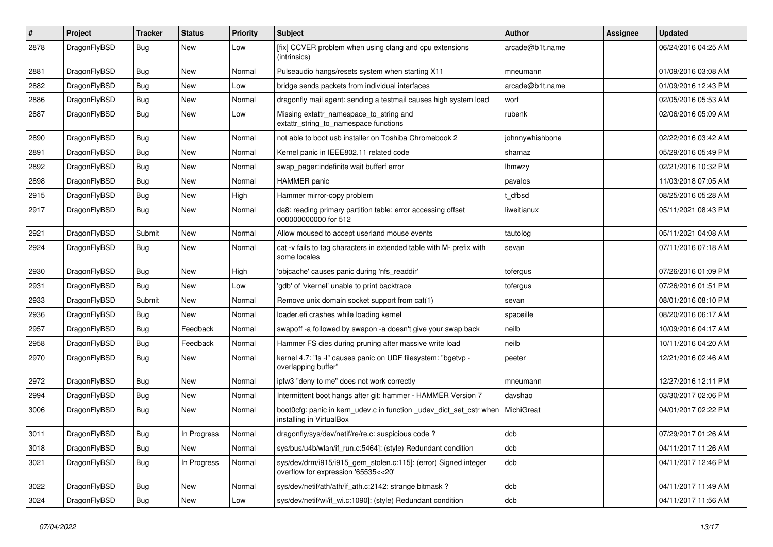| $\#$ | Project      | <b>Tracker</b> | <b>Status</b> | <b>Priority</b> | Subject                                                                                                | <b>Author</b>   | <b>Assignee</b> | <b>Updated</b>      |
|------|--------------|----------------|---------------|-----------------|--------------------------------------------------------------------------------------------------------|-----------------|-----------------|---------------------|
| 2878 | DragonFlyBSD | Bug            | New           | Low             | [fix] CCVER problem when using clang and cpu extensions<br>(intrinsics)                                | arcade@b1t.name |                 | 06/24/2016 04:25 AM |
| 2881 | DragonFlyBSD | Bug            | New           | Normal          | Pulseaudio hangs/resets system when starting X11                                                       | mneumann        |                 | 01/09/2016 03:08 AM |
| 2882 | DragonFlyBSD | Bug            | <b>New</b>    | Low             | bridge sends packets from individual interfaces                                                        | arcade@b1t.name |                 | 01/09/2016 12:43 PM |
| 2886 | DragonFlyBSD | Bug            | New           | Normal          | dragonfly mail agent: sending a testmail causes high system load                                       | worf            |                 | 02/05/2016 05:53 AM |
| 2887 | DragonFlyBSD | Bug            | New           | Low             | Missing extattr_namespace_to_string and<br>extattr_string_to_namespace functions                       | rubenk          |                 | 02/06/2016 05:09 AM |
| 2890 | DragonFlyBSD | Bug            | New           | Normal          | not able to boot usb installer on Toshiba Chromebook 2                                                 | johnnywhishbone |                 | 02/22/2016 03:42 AM |
| 2891 | DragonFlyBSD | Bug            | New           | Normal          | Kernel panic in IEEE802.11 related code                                                                | shamaz          |                 | 05/29/2016 05:49 PM |
| 2892 | DragonFlyBSD | Bug            | <b>New</b>    | Normal          | swap_pager:indefinite wait bufferf error                                                               | <b>Ihmwzy</b>   |                 | 02/21/2016 10:32 PM |
| 2898 | DragonFlyBSD | Bug            | New           | Normal          | <b>HAMMER</b> panic                                                                                    | pavalos         |                 | 11/03/2018 07:05 AM |
| 2915 | DragonFlyBSD | Bug            | New           | High            | Hammer mirror-copy problem                                                                             | t dfbsd         |                 | 08/25/2016 05:28 AM |
| 2917 | DragonFlyBSD | Bug            | New           | Normal          | da8: reading primary partition table: error accessing offset<br>000000000000 for 512                   | liweitianux     |                 | 05/11/2021 08:43 PM |
| 2921 | DragonFlyBSD | Submit         | New           | Normal          | Allow moused to accept userland mouse events                                                           | tautolog        |                 | 05/11/2021 04:08 AM |
| 2924 | DragonFlyBSD | Bug            | <b>New</b>    | Normal          | cat -v fails to tag characters in extended table with M- prefix with<br>some locales                   | sevan           |                 | 07/11/2016 07:18 AM |
| 2930 | DragonFlyBSD | <b>Bug</b>     | <b>New</b>    | High            | 'objcache' causes panic during 'nfs_readdir'                                                           | tofergus        |                 | 07/26/2016 01:09 PM |
| 2931 | DragonFlyBSD | <b>Bug</b>     | New           | Low             | 'gdb' of 'vkernel' unable to print backtrace                                                           | tofergus        |                 | 07/26/2016 01:51 PM |
| 2933 | DragonFlyBSD | Submit         | New           | Normal          | Remove unix domain socket support from cat(1)                                                          | sevan           |                 | 08/01/2016 08:10 PM |
| 2936 | DragonFlyBSD | <b>Bug</b>     | New           | Normal          | loader.efi crashes while loading kernel                                                                | spaceille       |                 | 08/20/2016 06:17 AM |
| 2957 | DragonFlyBSD | <b>Bug</b>     | Feedback      | Normal          | swapoff -a followed by swapon -a doesn't give your swap back                                           | neilb           |                 | 10/09/2016 04:17 AM |
| 2958 | DragonFlyBSD | <b>Bug</b>     | Feedback      | Normal          | Hammer FS dies during pruning after massive write load                                                 | neilb           |                 | 10/11/2016 04:20 AM |
| 2970 | DragonFlyBSD | <b>Bug</b>     | New           | Normal          | kernel 4.7: "Is -l" causes panic on UDF filesystem: "bgetvp -<br>overlapping buffer"                   | peeter          |                 | 12/21/2016 02:46 AM |
| 2972 | DragonFlyBSD | <b>Bug</b>     | <b>New</b>    | Normal          | ipfw3 "deny to me" does not work correctly                                                             | mneumann        |                 | 12/27/2016 12:11 PM |
| 2994 | DragonFlyBSD | <b>Bug</b>     | New           | Normal          | Intermittent boot hangs after git: hammer - HAMMER Version 7                                           | davshao         |                 | 03/30/2017 02:06 PM |
| 3006 | DragonFlyBSD | <b>Bug</b>     | New           | Normal          | boot0cfg: panic in kern_udev.c in function _udev_dict_set_cstr when<br>installing in VirtualBox        | MichiGreat      |                 | 04/01/2017 02:22 PM |
| 3011 | DragonFlyBSD | Bug            | In Progress   | Normal          | dragonfly/sys/dev/netif/re/re.c: suspicious code?                                                      | dcb             |                 | 07/29/2017 01:26 AM |
| 3018 | DragonFlyBSD | <b>Bug</b>     | New           | Normal          | sys/bus/u4b/wlan/if run.c:5464]: (style) Redundant condition                                           | dcb             |                 | 04/11/2017 11:26 AM |
| 3021 | DragonFlyBSD | <b>Bug</b>     | In Progress   | Normal          | sys/dev/drm/i915/i915_gem_stolen.c:115]: (error) Signed integer<br>overflow for expression '65535<<20' | dcb             |                 | 04/11/2017 12:46 PM |
| 3022 | DragonFlyBSD | <b>Bug</b>     | <b>New</b>    | Normal          | sys/dev/netif/ath/ath/if_ath.c:2142: strange bitmask?                                                  | dcb             |                 | 04/11/2017 11:49 AM |
| 3024 | DragonFlyBSD | <b>Bug</b>     | New           | Low             | sys/dev/netif/wi/if_wi.c:1090]: (style) Redundant condition                                            | dcb             |                 | 04/11/2017 11:56 AM |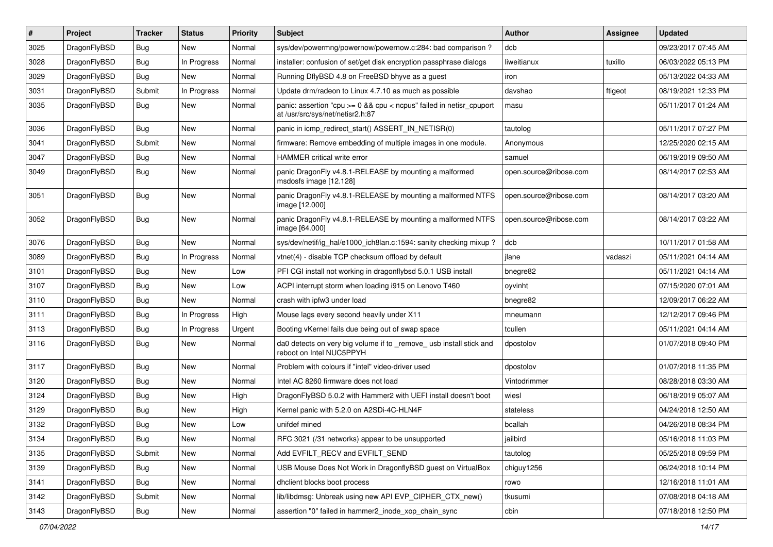| $\vert$ # | Project      | <b>Tracker</b> | <b>Status</b> | <b>Priority</b> | <b>Subject</b>                                                                                          | <b>Author</b>          | <b>Assignee</b> | <b>Updated</b>      |
|-----------|--------------|----------------|---------------|-----------------|---------------------------------------------------------------------------------------------------------|------------------------|-----------------|---------------------|
| 3025      | DragonFlyBSD | <b>Bug</b>     | New           | Normal          | sys/dev/powermng/powernow/powernow.c:284: bad comparison?                                               | dcb                    |                 | 09/23/2017 07:45 AM |
| 3028      | DragonFlyBSD | Bug            | In Progress   | Normal          | installer: confusion of set/get disk encryption passphrase dialogs                                      | liweitianux            | tuxillo         | 06/03/2022 05:13 PM |
| 3029      | DragonFlyBSD | Bug            | New           | Normal          | Running DflyBSD 4.8 on FreeBSD bhyve as a guest                                                         | iron                   |                 | 05/13/2022 04:33 AM |
| 3031      | DragonFlyBSD | Submit         | In Progress   | Normal          | Update drm/radeon to Linux 4.7.10 as much as possible                                                   | davshao                | ftigeot         | 08/19/2021 12:33 PM |
| 3035      | DragonFlyBSD | Bug            | New           | Normal          | panic: assertion "cpu >= 0 && cpu < ncpus" failed in netisr_cpuport<br>at /usr/src/sys/net/netisr2.h:87 | masu                   |                 | 05/11/2017 01:24 AM |
| 3036      | DragonFlyBSD | Bug            | <b>New</b>    | Normal          | panic in icmp_redirect_start() ASSERT_IN_NETISR(0)                                                      | tautolog               |                 | 05/11/2017 07:27 PM |
| 3041      | DragonFlyBSD | Submit         | <b>New</b>    | Normal          | firmware: Remove embedding of multiple images in one module.                                            | Anonymous              |                 | 12/25/2020 02:15 AM |
| 3047      | DragonFlyBSD | Bug            | <b>New</b>    | Normal          | <b>HAMMER</b> critical write error                                                                      | samuel                 |                 | 06/19/2019 09:50 AM |
| 3049      | DragonFlyBSD | <b>Bug</b>     | New           | Normal          | panic DragonFly v4.8.1-RELEASE by mounting a malformed<br>msdosfs image [12.128]                        | open.source@ribose.com |                 | 08/14/2017 02:53 AM |
| 3051      | DragonFlyBSD | Bug            | <b>New</b>    | Normal          | panic DragonFly v4.8.1-RELEASE by mounting a malformed NTFS<br>image [12.000]                           | open.source@ribose.com |                 | 08/14/2017 03:20 AM |
| 3052      | DragonFlyBSD | Bug            | <b>New</b>    | Normal          | panic DragonFly v4.8.1-RELEASE by mounting a malformed NTFS<br>image [64.000]                           | open.source@ribose.com |                 | 08/14/2017 03:22 AM |
| 3076      | DragonFlyBSD | <b>Bug</b>     | <b>New</b>    | Normal          | sys/dev/netif/ig hal/e1000 ich8lan.c:1594: sanity checking mixup?                                       | dcb                    |                 | 10/11/2017 01:58 AM |
| 3089      | DragonFlyBSD | <b>Bug</b>     | In Progress   | Normal          | vtnet(4) - disable TCP checksum offload by default                                                      | ilane                  | vadaszi         | 05/11/2021 04:14 AM |
| 3101      | DragonFlyBSD | Bug            | <b>New</b>    | Low             | PFI CGI install not working in dragonflybsd 5.0.1 USB install                                           | bnegre82               |                 | 05/11/2021 04:14 AM |
| 3107      | DragonFlyBSD | <b>Bug</b>     | New           | Low             | ACPI interrupt storm when loading i915 on Lenovo T460                                                   | oyvinht                |                 | 07/15/2020 07:01 AM |
| 3110      | DragonFlyBSD | <b>Bug</b>     | New           | Normal          | crash with ipfw3 under load                                                                             | bnegre82               |                 | 12/09/2017 06:22 AM |
| 3111      | DragonFlyBSD | <b>Bug</b>     | In Progress   | High            | Mouse lags every second heavily under X11                                                               | mneumann               |                 | 12/12/2017 09:46 PM |
| 3113      | DragonFlyBSD | <b>Bug</b>     | In Progress   | Urgent          | Booting vKernel fails due being out of swap space                                                       | tcullen                |                 | 05/11/2021 04:14 AM |
| 3116      | DragonFlyBSD | Bug            | New           | Normal          | da0 detects on very big volume if to _remove_ usb install stick and<br>reboot on Intel NUC5PPYH         | dpostolov              |                 | 01/07/2018 09:40 PM |
| 3117      | DragonFlyBSD | Bug            | <b>New</b>    | Normal          | Problem with colours if "intel" video-driver used                                                       | dpostolov              |                 | 01/07/2018 11:35 PM |
| 3120      | DragonFlyBSD | <b>Bug</b>     | <b>New</b>    | Normal          | Intel AC 8260 firmware does not load                                                                    | Vintodrimmer           |                 | 08/28/2018 03:30 AM |
| 3124      | DragonFlyBSD | <b>Bug</b>     | <b>New</b>    | High            | DragonFlyBSD 5.0.2 with Hammer2 with UEFI install doesn't boot                                          | wiesl                  |                 | 06/18/2019 05:07 AM |
| 3129      | DragonFlyBSD | Bug            | <b>New</b>    | High            | Kernel panic with 5.2.0 on A2SDi-4C-HLN4F                                                               | stateless              |                 | 04/24/2018 12:50 AM |
| 3132      | DragonFlyBSD | <b>Bug</b>     | New           | Low             | unifdef mined                                                                                           | bcallah                |                 | 04/26/2018 08:34 PM |
| 3134      | DragonFlyBSD | Bug            | New           | Normal          | RFC 3021 (/31 networks) appear to be unsupported                                                        | jailbird               |                 | 05/16/2018 11:03 PM |
| 3135      | DragonFlyBSD | Submit         | New           | Normal          | Add EVFILT_RECV and EVFILT_SEND                                                                         | tautolog               |                 | 05/25/2018 09:59 PM |
| 3139      | DragonFlyBSD | <b>Bug</b>     | New           | Normal          | USB Mouse Does Not Work in DragonflyBSD guest on VirtualBox                                             | chiguy1256             |                 | 06/24/2018 10:14 PM |
| 3141      | DragonFlyBSD | <b>Bug</b>     | New           | Normal          | dhclient blocks boot process                                                                            | rowo                   |                 | 12/16/2018 11:01 AM |
| 3142      | DragonFlyBSD | Submit         | New           | Normal          | lib/libdmsg: Unbreak using new API EVP CIPHER CTX new()                                                 | tkusumi                |                 | 07/08/2018 04:18 AM |
| 3143      | DragonFlyBSD | Bug            | New           | Normal          | assertion "0" failed in hammer2 inode xop chain sync                                                    | cbin                   |                 | 07/18/2018 12:50 PM |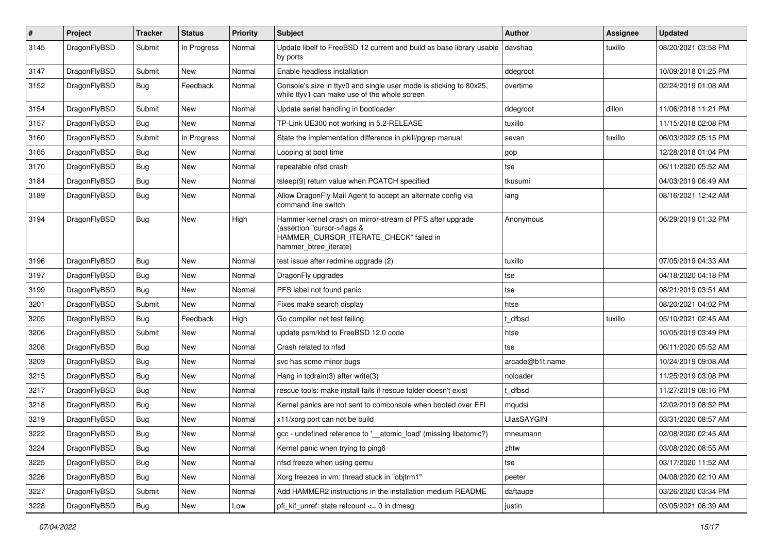| $\sharp$ | Project      | <b>Tracker</b> | <b>Status</b> | <b>Priority</b> | Subject                                                                                                                                                     | Author            | Assignee | <b>Updated</b>      |
|----------|--------------|----------------|---------------|-----------------|-------------------------------------------------------------------------------------------------------------------------------------------------------------|-------------------|----------|---------------------|
| 3145     | DragonFlyBSD | Submit         | In Progress   | Normal          | Update libelf to FreeBSD 12 current and build as base library usable<br>by ports                                                                            | davshao           | tuxillo  | 08/20/2021 03:58 PM |
| 3147     | DragonFlyBSD | Submit         | <b>New</b>    | Normal          | Enable headless installation                                                                                                                                | ddegroot          |          | 10/09/2018 01:25 PM |
| 3152     | DragonFlyBSD | Bug            | Feedback      | Normal          | Console's size in ttyv0 and single user mode is sticking to 80x25,<br>while ttyv1 can make use of the whole screen                                          | overtime          |          | 02/24/2019 01:08 AM |
| 3154     | DragonFlyBSD | Submit         | <b>New</b>    | Normal          | Update serial handling in bootloader                                                                                                                        | ddegroot          | dillon   | 11/06/2018 11:21 PM |
| 3157     | DragonFlyBSD | Bug            | <b>New</b>    | Normal          | TP-Link UE300 not working in 5.2-RELEASE                                                                                                                    | tuxillo           |          | 11/15/2018 02:08 PM |
| 3160     | DragonFlyBSD | Submit         | In Progress   | Normal          | State the implementation difference in pkill/pgrep manual                                                                                                   | sevan             | tuxillo  | 06/03/2022 05:15 PM |
| 3165     | DragonFlyBSD | Bug            | <b>New</b>    | Normal          | Looping at boot time                                                                                                                                        | gop               |          | 12/28/2018 01:04 PM |
| 3170     | DragonFlyBSD | Bug            | <b>New</b>    | Normal          | repeatable nfsd crash                                                                                                                                       | tse               |          | 06/11/2020 05:52 AM |
| 3184     | DragonFlyBSD | <b>Bug</b>     | <b>New</b>    | Normal          | tsleep(9) return value when PCATCH specified                                                                                                                | tkusumi           |          | 04/03/2019 06:49 AM |
| 3189     | DragonFlyBSD | Bug            | <b>New</b>    | Normal          | Allow DragonFly Mail Agent to accept an alternate config via<br>command line switch                                                                         | iang              |          | 08/16/2021 12:42 AM |
| 3194     | DragonFlyBSD | <b>Bug</b>     | <b>New</b>    | High            | Hammer kernel crash on mirror-stream of PFS after upgrade<br>(assertion "cursor->flags &<br>HAMMER CURSOR ITERATE CHECK" failed in<br>hammer btree iterate) | Anonymous         |          | 06/29/2019 01:32 PM |
| 3196     | DragonFlyBSD | Bug            | <b>New</b>    | Normal          | test issue after redmine upgrade (2)                                                                                                                        | tuxillo           |          | 07/05/2019 04:33 AM |
| 3197     | DragonFlyBSD | <b>Bug</b>     | <b>New</b>    | Normal          | DragonFly upgrades                                                                                                                                          | tse               |          | 04/18/2020 04:18 PM |
| 3199     | DragonFlyBSD | Bug            | <b>New</b>    | Normal          | PFS label not found panic                                                                                                                                   | tse               |          | 08/21/2019 03:51 AM |
| 3201     | DragonFlyBSD | Submit         | <b>New</b>    | Normal          | Fixes make search display                                                                                                                                   | htse              |          | 08/20/2021 04:02 PM |
| 3205     | DragonFlyBSD | <b>Bug</b>     | Feedback      | High            | Go compiler net test failing                                                                                                                                | t dfbsd           | tuxillo  | 05/10/2021 02:45 AM |
| 3206     | DragonFlyBSD | Submit         | New           | Normal          | update psm/kbd to FreeBSD 12.0 code                                                                                                                         | htse              |          | 10/05/2019 03:49 PM |
| 3208     | DragonFlyBSD | Bug            | <b>New</b>    | Normal          | Crash related to nfsd                                                                                                                                       | tse               |          | 06/11/2020 05:52 AM |
| 3209     | DragonFlyBSD | Bug            | <b>New</b>    | Normal          | svc has some minor bugs                                                                                                                                     | arcade@b1t.name   |          | 10/24/2019 09:08 AM |
| 3215     | DragonFlyBSD | Bug            | <b>New</b>    | Normal          | Hang in tcdrain(3) after write(3)                                                                                                                           | noloader          |          | 11/25/2019 03:08 PM |
| 3217     | DragonFlyBSD | <b>Bug</b>     | <b>New</b>    | Normal          | rescue tools: make install fails if rescue folder doesn't exist                                                                                             | t dfbsd           |          | 11/27/2019 08:16 PM |
| 3218     | DragonFlyBSD | <b>Bug</b>     | New           | Normal          | Kernel panics are not sent to comconsole when booted over EFI                                                                                               | mqudsi            |          | 12/02/2019 08:52 PM |
| 3219     | DragonFlyBSD | Bug            | <b>New</b>    | Normal          | x11/xorg port can not be build                                                                                                                              | <b>UlasSAYGIN</b> |          | 03/31/2020 08:57 AM |
| 3222     | DragonFlyBSD | <b>Bug</b>     | <b>New</b>    | Normal          | gcc - undefined reference to ' atomic load' (missing libatomic?)                                                                                            | mneumann          |          | 02/08/2020 02:45 AM |
| 3224     | DragonFlyBSD | Bug            | <b>New</b>    | Normal          | Kernel panic when trying to ping6                                                                                                                           | zhtw              |          | 03/08/2020 08:55 AM |
| 3225     | DragonFlyBSD | Bug            | New           | Normal          | nfsd freeze when using gemu                                                                                                                                 | tse               |          | 03/17/2020 11:52 AM |
| 3226     | DragonFlyBSD | <b>Bug</b>     | New           | Normal          | Xorg freezes in vm: thread stuck in "objtrm1"                                                                                                               | peeter            |          | 04/08/2020 02:10 AM |
| 3227     | DragonFlyBSD | Submit         | New           | Normal          | Add HAMMER2 instructions in the installation medium README                                                                                                  | daftaupe          |          | 03/26/2020 03:34 PM |
| 3228     | DragonFlyBSD | Bug            | New           | Low             | pfi kif unref: state refcount $\leq$ 0 in dmesg                                                                                                             | justin            |          | 03/05/2021 06:39 AM |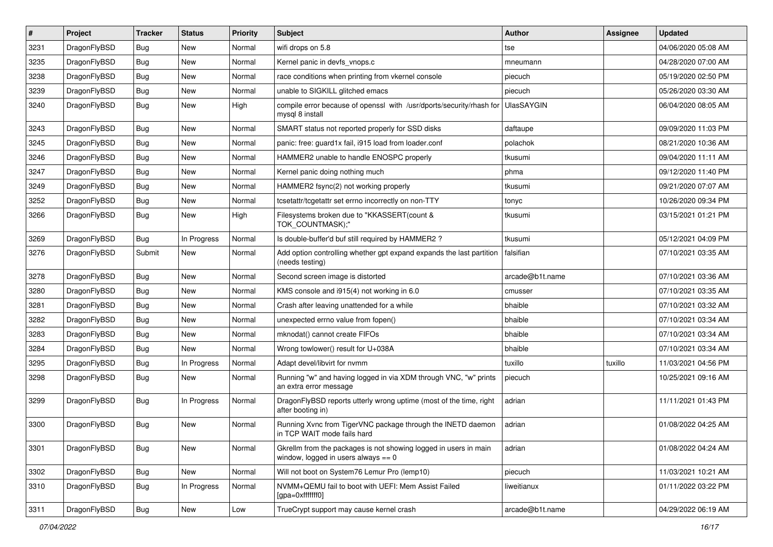| $\vert$ # | Project      | <b>Tracker</b> | <b>Status</b> | <b>Priority</b> | Subject                                                                                                   | Author            | Assignee | <b>Updated</b>      |
|-----------|--------------|----------------|---------------|-----------------|-----------------------------------------------------------------------------------------------------------|-------------------|----------|---------------------|
| 3231      | DragonFlyBSD | <b>Bug</b>     | <b>New</b>    | Normal          | wifi drops on 5.8                                                                                         | tse               |          | 04/06/2020 05:08 AM |
| 3235      | DragonFlyBSD | <b>Bug</b>     | <b>New</b>    | Normal          | Kernel panic in devfs vnops.c                                                                             | mneumann          |          | 04/28/2020 07:00 AM |
| 3238      | DragonFlyBSD | <b>Bug</b>     | <b>New</b>    | Normal          | race conditions when printing from vkernel console                                                        | piecuch           |          | 05/19/2020 02:50 PM |
| 3239      | DragonFlyBSD | <b>Bug</b>     | <b>New</b>    | Normal          | unable to SIGKILL glitched emacs                                                                          | piecuch           |          | 05/26/2020 03:30 AM |
| 3240      | DragonFlyBSD | Bug            | <b>New</b>    | High            | compile error because of openssl with /usr/dports/security/rhash for<br>mysql 8 install                   | <b>UlasSAYGIN</b> |          | 06/04/2020 08:05 AM |
| 3243      | DragonFlyBSD | Bug            | New           | Normal          | SMART status not reported properly for SSD disks                                                          | daftaupe          |          | 09/09/2020 11:03 PM |
| 3245      | DragonFlyBSD | <b>Bug</b>     | New           | Normal          | panic: free: guard1x fail, i915 load from loader.conf                                                     | polachok          |          | 08/21/2020 10:36 AM |
| 3246      | DragonFlyBSD | Bug            | <b>New</b>    | Normal          | HAMMER2 unable to handle ENOSPC properly                                                                  | tkusumi           |          | 09/04/2020 11:11 AM |
| 3247      | DragonFlyBSD | Bug            | <b>New</b>    | Normal          | Kernel panic doing nothing much                                                                           | phma              |          | 09/12/2020 11:40 PM |
| 3249      | DragonFlyBSD | <b>Bug</b>     | <b>New</b>    | Normal          | HAMMER2 fsync(2) not working properly                                                                     | tkusumi           |          | 09/21/2020 07:07 AM |
| 3252      | DragonFlyBSD | Bug            | <b>New</b>    | Normal          | tcsetattr/tcgetattr set errno incorrectly on non-TTY                                                      | tonyc             |          | 10/26/2020 09:34 PM |
| 3266      | DragonFlyBSD | Bug            | New           | High            | Filesystems broken due to "KKASSERT(count &<br>TOK_COUNTMASK);"                                           | tkusumi           |          | 03/15/2021 01:21 PM |
| 3269      | DragonFlyBSD | Bug            | In Progress   | Normal          | Is double-buffer'd buf still required by HAMMER2 ?                                                        | tkusumi           |          | 05/12/2021 04:09 PM |
| 3276      | DragonFlyBSD | Submit         | New           | Normal          | Add option controlling whether gpt expand expands the last partition<br>(needs testing)                   | falsifian         |          | 07/10/2021 03:35 AM |
| 3278      | DragonFlyBSD | <b>Bug</b>     | <b>New</b>    | Normal          | Second screen image is distorted                                                                          | arcade@b1t.name   |          | 07/10/2021 03:36 AM |
| 3280      | DragonFlyBSD | <b>Bug</b>     | <b>New</b>    | Normal          | KMS console and i915(4) not working in 6.0                                                                | cmusser           |          | 07/10/2021 03:35 AM |
| 3281      | DragonFlyBSD | Bug            | <b>New</b>    | Normal          | Crash after leaving unattended for a while                                                                | bhaible           |          | 07/10/2021 03:32 AM |
| 3282      | DragonFlyBSD | <b>Bug</b>     | <b>New</b>    | Normal          | unexpected errno value from fopen()                                                                       | bhaible           |          | 07/10/2021 03:34 AM |
| 3283      | DragonFlyBSD | Bug            | <b>New</b>    | Normal          | mknodat() cannot create FIFOs                                                                             | bhaible           |          | 07/10/2021 03:34 AM |
| 3284      | DragonFlyBSD | <b>Bug</b>     | <b>New</b>    | Normal          | Wrong towlower() result for U+038A                                                                        | bhaible           |          | 07/10/2021 03:34 AM |
| 3295      | DragonFlyBSD | <b>Bug</b>     | In Progress   | Normal          | Adapt devel/libvirt for nvmm                                                                              | tuxillo           | tuxillo  | 11/03/2021 04:56 PM |
| 3298      | DragonFlyBSD | <b>Bug</b>     | New           | Normal          | Running "w" and having logged in via XDM through VNC, "w" prints<br>an extra error message                | piecuch           |          | 10/25/2021 09:16 AM |
| 3299      | DragonFlyBSD | <b>Bug</b>     | In Progress   | Normal          | DragonFlyBSD reports utterly wrong uptime (most of the time, right<br>after booting in)                   | adrian            |          | 11/11/2021 01:43 PM |
| 3300      | DragonFlyBSD | <b>Bug</b>     | <b>New</b>    | Normal          | Running Xvnc from TigerVNC package through the INETD daemon<br>in TCP WAIT mode fails hard                | adrian            |          | 01/08/2022 04:25 AM |
| 3301      | DragonFlyBSD | Bug            | New           | Normal          | Gkrellm from the packages is not showing logged in users in main<br>window, logged in users always $== 0$ | adrian            |          | 01/08/2022 04:24 AM |
| 3302      | DragonFlyBSD | <b>Bug</b>     | New           | Normal          | Will not boot on System76 Lemur Pro (lemp10)                                                              | piecuch           |          | 11/03/2021 10:21 AM |
| 3310      | DragonFlyBSD | <b>Bug</b>     | In Progress   | Normal          | NVMM+QEMU fail to boot with UEFI: Mem Assist Failed<br>[gpa=0xfffffff0]                                   | liweitianux       |          | 01/11/2022 03:22 PM |
| 3311      | DragonFlyBSD | <b>Bug</b>     | New           | Low             | TrueCrypt support may cause kernel crash                                                                  | arcade@b1t.name   |          | 04/29/2022 06:19 AM |